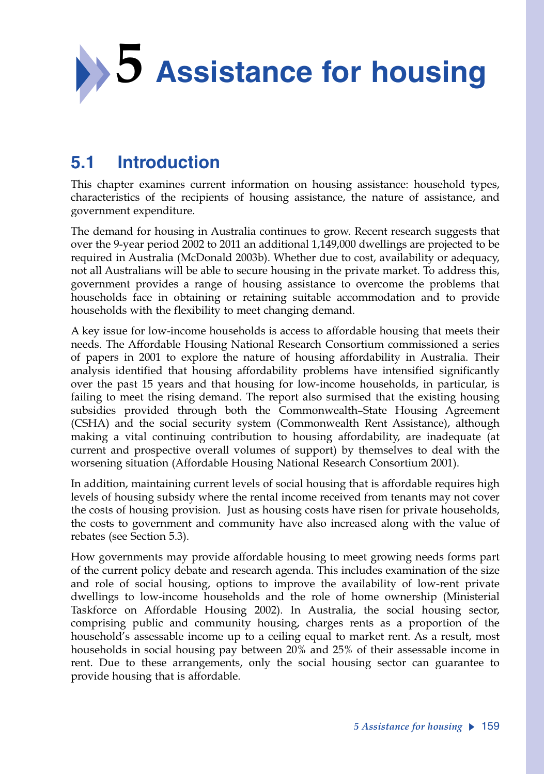

# **5.1 Introduction**

This chapter examines current information on housing assistance: household types, characteristics of the recipients of housing assistance, the nature of assistance, and government expenditure.

The demand for housing in Australia continues to grow. Recent research suggests that over the 9-year period 2002 to 2011 an additional 1,149,000 dwellings are projected to be required in Australia (McDonald 2003b). Whether due to cost, availability or adequacy, not all Australians will be able to secure housing in the private market. To address this, government provides a range of housing assistance to overcome the problems that households face in obtaining or retaining suitable accommodation and to provide households with the flexibility to meet changing demand.

A key issue for low-income households is access to affordable housing that meets their needs. The Affordable Housing National Research Consortium commissioned a series of papers in 2001 to explore the nature of housing affordability in Australia. Their analysis identified that housing affordability problems have intensified significantly over the past 15 years and that housing for low-income households, in particular, is failing to meet the rising demand. The report also surmised that the existing housing subsidies provided through both the Commonwealth–State Housing Agreement (CSHA) and the social security system (Commonwealth Rent Assistance), although making a vital continuing contribution to housing affordability, are inadequate (at current and prospective overall volumes of support) by themselves to deal with the worsening situation (Affordable Housing National Research Consortium 2001).

In addition, maintaining current levels of social housing that is affordable requires high levels of housing subsidy where the rental income received from tenants may not cover the costs of housing provision. Just as housing costs have risen for private households, the costs to government and community have also increased along with the value of rebates (see Section 5.3).

How governments may provide affordable housing to meet growing needs forms part of the current policy debate and research agenda. This includes examination of the size and role of social housing, options to improve the availability of low-rent private dwellings to low-income households and the role of home ownership (Ministerial Taskforce on Affordable Housing 2002). In Australia, the social housing sector, comprising public and community housing, charges rents as a proportion of the household's assessable income up to a ceiling equal to market rent. As a result, most households in social housing pay between 20% and 25% of their assessable income in rent. Due to these arrangements, only the social housing sector can guarantee to provide housing that is affordable.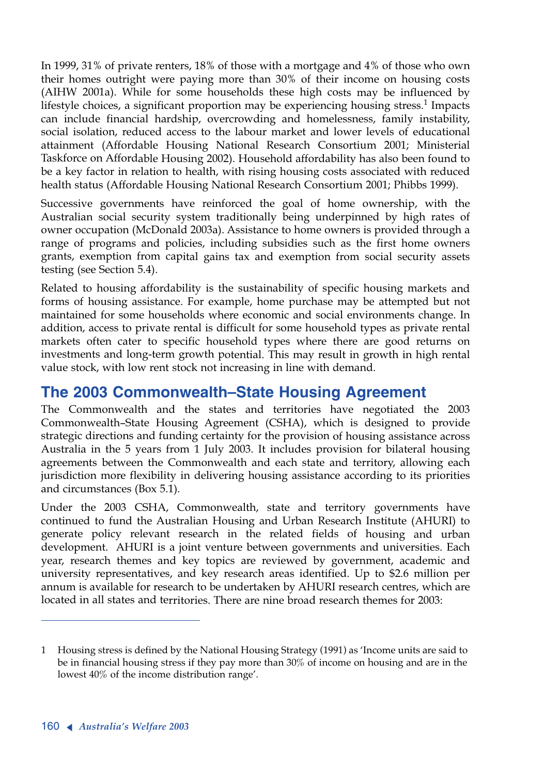In 1999, 31% of private renters, 18% of those with a mortgage and 4% of those who own their homes outright were paying more than 30% of their income on housing costs (AIHW 2001a). While for some households these high costs may be influenced by lifestyle choices, a significant proportion may be experiencing housing stress.<sup>1</sup> Impacts can include financial hardship, overcrowding and homelessness, family instability, social isolation, reduced access to the labour market and lower levels of educational attainment (Affordable Housing National Research Consortium 2001; Ministerial Taskforce on Affordable Housing 2002). Household affordability has also been found to be a key factor in relation to health, with rising housing costs associated with reduced health status (Affordable Housing National Research Consortium 2001; Phibbs 1999).

Successive governments have reinforced the goal of home ownership, with the Australian social security system traditionally being underpinned by high rates of owner occupation (McDonald 2003a). Assistance to home owners is provided through a range of programs and policies, including subsidies such as the first home owners grants, exemption from capital gains tax and exemption from social security assets testing (see Section 5.4).

Related to housing affordability is the sustainability of specific housing markets and forms of housing assistance. For example, home purchase may be attempted but not maintained for some households where economic and social environments change. In addition, access to private rental is difficult for some household types as private rental markets often cater to specific household types where there are good returns on investments and long-term growth potential. This may result in growth in high rental value stock, with low rent stock not increasing in line with demand.

# **The 2003 Commonwealth–State Housing Agreement**

The Commonwealth and the states and territories have negotiated the 2003 Commonwealth–State Housing Agreement (CSHA), which is designed to provide strategic directions and funding certainty for the provision of housing assistance across Australia in the 5 years from 1 July 2003. It includes provision for bilateral housing agreements between the Commonwealth and each state and territory, allowing each jurisdiction more flexibility in delivering housing assistance according to its priorities and circumstances (Box 5.1).

Under the 2003 CSHA, Commonwealth, state and territory governments have continued to fund the Australian Housing and Urban Research Institute (AHURI) to generate policy relevant research in the related fields of housing and urban development. AHURI is a joint venture between governments and universities. Each year, research themes and key topics are reviewed by government, academic and university representatives, and key research areas identified. Up to \$2.6 million per annum is available for research to be undertaken by AHURI research centres, which are located in all states and territories. There are nine broad research themes for 2003:

<sup>1</sup> Housing stress is defined by the National Housing Strategy (1991) as 'Income units are said to be in financial housing stress if they pay more than 30% of income on housing and are in the lowest 40% of the income distribution range'.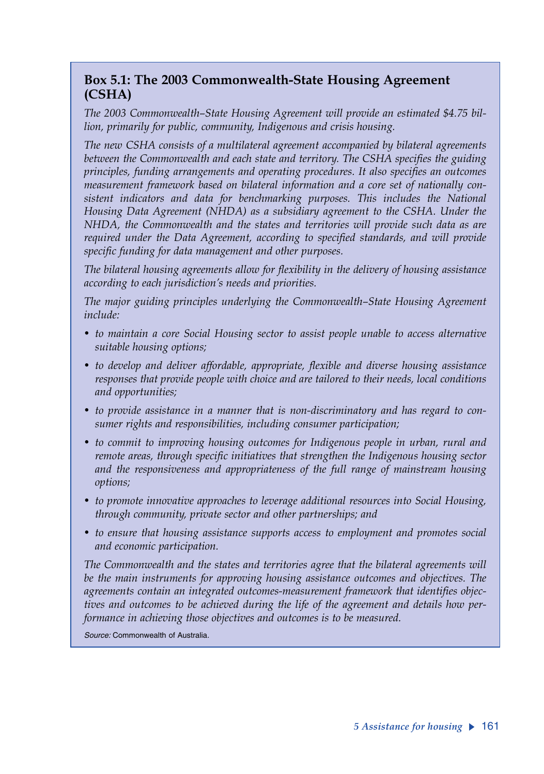### **Box 5.1: The 2003 Commonwealth-State Housing Agreement (CSHA)**

*The 2003 Commonwealth–State Housing Agreement will provide an estimated \$4.75 billion, primarily for public, community, Indigenous and crisis housing.* 

*The new CSHA consists of a multilateral agreement accompanied by bilateral agreements between the Commonwealth and each state and territory. The CSHA specifies the guiding principles, funding arrangements and operating procedures. It also specifies an outcomes measurement framework based on bilateral information and a core set of nationally consistent indicators and data for benchmarking purposes. This includes the National Housing Data Agreement (NHDA) as a subsidiary agreement to the CSHA. Under the NHDA, the Commonwealth and the states and territories will provide such data as are required under the Data Agreement, according to specified standards, and will provide specific funding for data management and other purposes.*

*The bilateral housing agreements allow for flexibility in the delivery of housing assistance according to each jurisdiction's needs and priorities.* 

*The major guiding principles underlying the Commonwealth–State Housing Agreement include:*

- *to maintain a core Social Housing sector to assist people unable to access alternative suitable housing options;*
- *to develop and deliver affordable, appropriate, flexible and diverse housing assistance responses that provide people with choice and are tailored to their needs, local conditions and opportunities;*
- *to provide assistance in a manner that is non-discriminatory and has regard to consumer rights and responsibilities, including consumer participation;*
- *to commit to improving housing outcomes for Indigenous people in urban, rural and remote areas, through specific initiatives that strengthen the Indigenous housing sector and the responsiveness and appropriateness of the full range of mainstream housing options;*
- *to promote innovative approaches to leverage additional resources into Social Housing, through community, private sector and other partnerships; and*
- *to ensure that housing assistance supports access to employment and promotes social and economic participation.*

*The Commonwealth and the states and territories agree that the bilateral agreements will be the main instruments for approving housing assistance outcomes and objectives. The agreements contain an integrated outcomes-measurement framework that identifies objectives and outcomes to be achieved during the life of the agreement and details how performance in achieving those objectives and outcomes is to be measured.* 

*Source:* Commonwealth of Australia.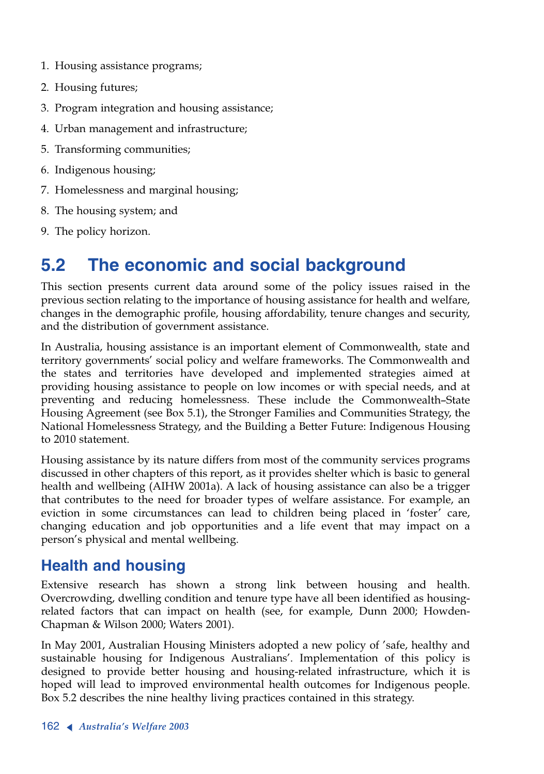- 1. Housing assistance programs;
- 2. Housing futures;
- 3. Program integration and housing assistance;
- 4. Urban management and infrastructure;
- 5. Transforming communities;
- 6. Indigenous housing;
- 7. Homelessness and marginal housing;
- 8. The housing system; and
- 9. The policy horizon.

# **5.2 The economic and social background**

This section presents current data around some of the policy issues raised in the previous section relating to the importance of housing assistance for health and welfare, changes in the demographic profile, housing affordability, tenure changes and security, and the distribution of government assistance.

In Australia, housing assistance is an important element of Commonwealth, state and territory governments' social policy and welfare frameworks. The Commonwealth and the states and territories have developed and implemented strategies aimed at providing housing assistance to people on low incomes or with special needs, and at preventing and reducing homelessness. These include the Commonwealth–State Housing Agreement (see Box 5.1), the Stronger Families and Communities Strategy, the National Homelessness Strategy, and the Building a Better Future: Indigenous Housing to 2010 statement.

Housing assistance by its nature differs from most of the community services programs discussed in other chapters of this report, as it provides shelter which is basic to general health and wellbeing (AIHW 2001a). A lack of housing assistance can also be a trigger that contributes to the need for broader types of welfare assistance. For example, an eviction in some circumstances can lead to children being placed in 'foster' care, changing education and job opportunities and a life event that may impact on a person's physical and mental wellbeing.

## **Health and housing**

Extensive research has shown a strong link between housing and health. Overcrowding, dwelling condition and tenure type have all been identified as housingrelated factors that can impact on health (see, for example, Dunn 2000; Howden-Chapman & Wilson 2000; Waters 2001).

In May 2001, Australian Housing Ministers adopted a new policy of 'safe, healthy and sustainable housing for Indigenous Australians'. Implementation of this policy is designed to provide better housing and housing-related infrastructure, which it is hoped will lead to improved environmental health outcomes for Indigenous people. Box 5.2 describes the nine healthy living practices contained in this strategy.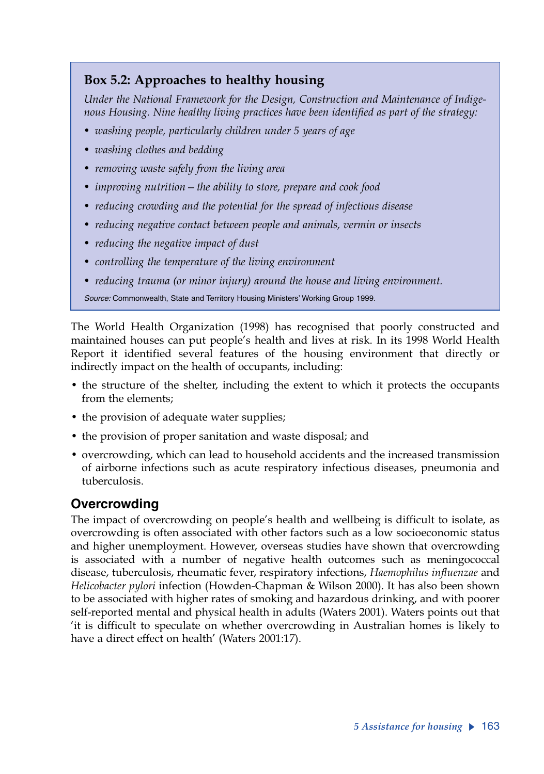## **Box 5.2: Approaches to healthy housing**

*Under the National Framework for the Design, Construction and Maintenance of Indigenous Housing. Nine healthy living practices have been identified as part of the strategy:*

- *washing people, particularly children under 5 years of age*
- *washing clothes and bedding*
- *removing waste safely from the living area*
- *improving nutrition—the ability to store, prepare and cook food*
- *reducing crowding and the potential for the spread of infectious disease*
- *reducing negative contact between people and animals, vermin or insects*
- *reducing the negative impact of dust*
- *controlling the temperature of the living environment*
- *reducing trauma (or minor injury) around the house and living environment.*

*Source:* Commonwealth, State and Territory Housing Ministers' Working Group 1999.

The World Health Organization (1998) has recognised that poorly constructed and maintained houses can put people's health and lives at risk. In its 1998 World Health Report it identified several features of the housing environment that directly or indirectly impact on the health of occupants, including:

- the structure of the shelter, including the extent to which it protects the occupants from the elements;
- the provision of adequate water supplies;
- the provision of proper sanitation and waste disposal; and
- overcrowding, which can lead to household accidents and the increased transmission of airborne infections such as acute respiratory infectious diseases, pneumonia and tuberculosis.

### **Overcrowding**

The impact of overcrowding on people's health and wellbeing is difficult to isolate, as overcrowding is often associated with other factors such as a low socioeconomic status and higher unemployment. However, overseas studies have shown that overcrowding is associated with a number of negative health outcomes such as meningococcal disease, tuberculosis, rheumatic fever, respiratory infections, *Haemophilus influenzae* and *Helicobacter pylori* infection (Howden-Chapman & Wilson 2000). It has also been shown to be associated with higher rates of smoking and hazardous drinking, and with poorer self-reported mental and physical health in adults (Waters 2001). Waters points out that 'it is difficult to speculate on whether overcrowding in Australian homes is likely to have a direct effect on health' (Waters 2001:17).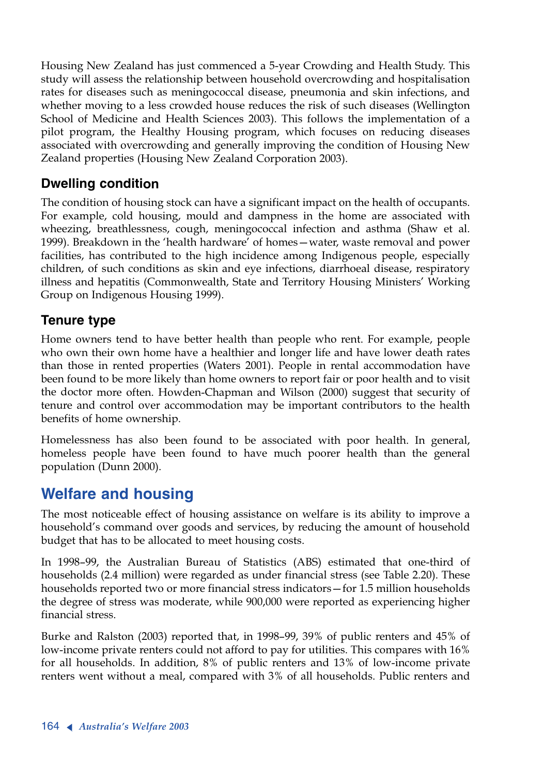Housing New Zealand has just commenced a 5-year Crowding and Health Study. This study will assess the relationship between household overcrowding and hospitalisation rates for diseases such as meningococcal disease, pneumonia and skin infections, and whether moving to a less crowded house reduces the risk of such diseases (Wellington School of Medicine and Health Sciences 2003). This follows the implementation of a pilot program, the Healthy Housing program, which focuses on reducing diseases associated with overcrowding and generally improving the condition of Housing New Zealand properties (Housing New Zealand Corporation 2003).

## **Dwelling condition**

The condition of housing stock can have a significant impact on the health of occupants. For example, cold housing, mould and dampness in the home are associated with wheezing, breathlessness, cough, meningococcal infection and asthma (Shaw et al. 1999). Breakdown in the 'health hardware' of homes—water, waste removal and power facilities, has contributed to the high incidence among Indigenous people, especially children, of such conditions as skin and eye infections, diarrhoeal disease, respiratory illness and hepatitis (Commonwealth, State and Territory Housing Ministers' Working Group on Indigenous Housing 1999).

### **Tenure type**

Home owners tend to have better health than people who rent. For example, people who own their own home have a healthier and longer life and have lower death rates than those in rented properties (Waters 2001). People in rental accommodation have been found to be more likely than home owners to report fair or poor health and to visit the doctor more often. Howden-Chapman and Wilson (2000) suggest that security of tenure and control over accommodation may be important contributors to the health benefits of home ownership.

Homelessness has also been found to be associated with poor health. In general, homeless people have been found to have much poorer health than the general population (Dunn 2000).

## **Welfare and housing**

The most noticeable effect of housing assistance on welfare is its ability to improve a household's command over goods and services, by reducing the amount of household budget that has to be allocated to meet housing costs.

In 1998–99, the Australian Bureau of Statistics (ABS) estimated that one-third of households (2.4 million) were regarded as under financial stress (see Table 2.20). These households reported two or more financial stress indicators—for 1.5 million households the degree of stress was moderate, while 900,000 were reported as experiencing higher financial stress.

Burke and Ralston (2003) reported that, in 1998–99, 39% of public renters and 45% of low-income private renters could not afford to pay for utilities. This compares with 16% for all households. In addition, 8% of public renters and 13% of low-income private renters went without a meal, compared with 3% of all households. Public renters and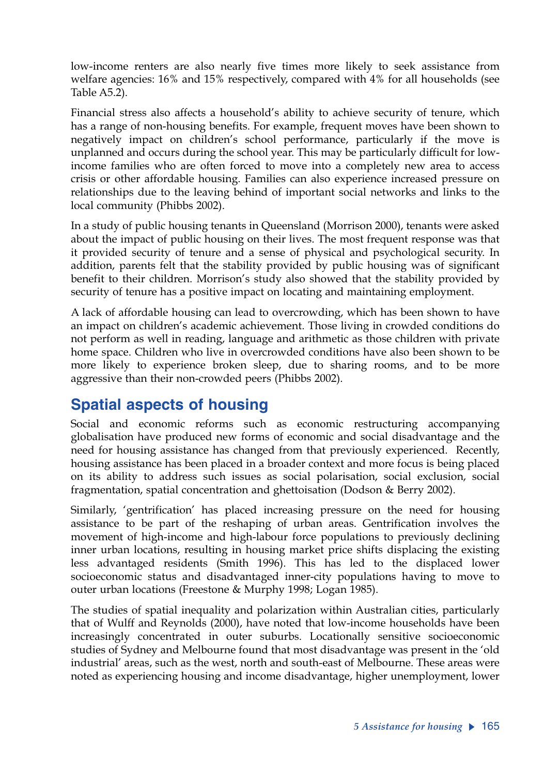low-income renters are also nearly five times more likely to seek assistance from welfare agencies: 16% and 15% respectively, compared with 4% for all households (see Table A5.2).

Financial stress also affects a household's ability to achieve security of tenure, which has a range of non-housing benefits. For example, frequent moves have been shown to negatively impact on children's school performance, particularly if the move is unplanned and occurs during the school year. This may be particularly difficult for lowincome families who are often forced to move into a completely new area to access crisis or other affordable housing. Families can also experience increased pressure on relationships due to the leaving behind of important social networks and links to the local community (Phibbs 2002).

In a study of public housing tenants in Queensland (Morrison 2000), tenants were asked about the impact of public housing on their lives. The most frequent response was that it provided security of tenure and a sense of physical and psychological security. In addition, parents felt that the stability provided by public housing was of significant benefit to their children. Morrison's study also showed that the stability provided by security of tenure has a positive impact on locating and maintaining employment.

A lack of affordable housing can lead to overcrowding, which has been shown to have an impact on children's academic achievement. Those living in crowded conditions do not perform as well in reading, language and arithmetic as those children with private home space. Children who live in overcrowded conditions have also been shown to be more likely to experience broken sleep, due to sharing rooms, and to be more aggressive than their non-crowded peers (Phibbs 2002).

# **Spatial aspects of housing**

Social and economic reforms such as economic restructuring accompanying globalisation have produced new forms of economic and social disadvantage and the need for housing assistance has changed from that previously experienced. Recently, housing assistance has been placed in a broader context and more focus is being placed on its ability to address such issues as social polarisation, social exclusion, social fragmentation, spatial concentration and ghettoisation (Dodson & Berry 2002).

Similarly, 'gentrification' has placed increasing pressure on the need for housing assistance to be part of the reshaping of urban areas. Gentrification involves the movement of high-income and high-labour force populations to previously declining inner urban locations, resulting in housing market price shifts displacing the existing less advantaged residents (Smith 1996). This has led to the displaced lower socioeconomic status and disadvantaged inner-city populations having to move to outer urban locations (Freestone & Murphy 1998; Logan 1985).

The studies of spatial inequality and polarization within Australian cities, particularly that of Wulff and Reynolds (2000), have noted that low-income households have been increasingly concentrated in outer suburbs. Locationally sensitive socioeconomic studies of Sydney and Melbourne found that most disadvantage was present in the 'old industrial' areas, such as the west, north and south-east of Melbourne. These areas were noted as experiencing housing and income disadvantage, higher unemployment, lower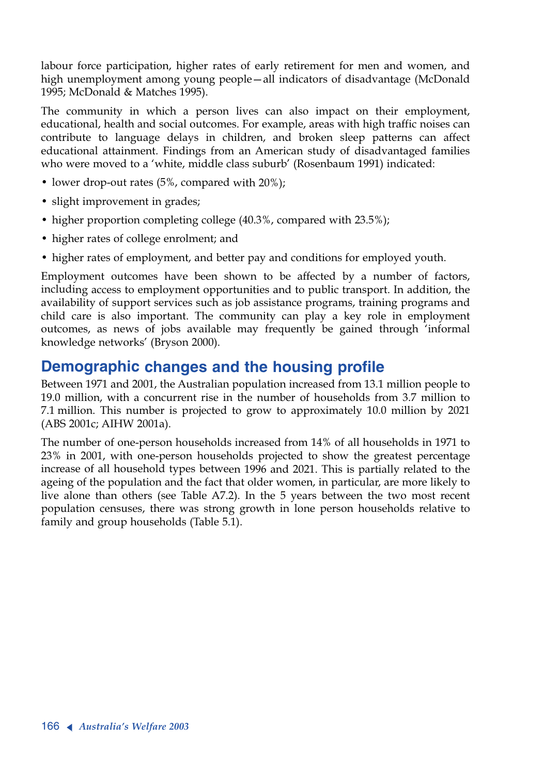labour force participation, higher rates of early retirement for men and women, and high unemployment among young people—all indicators of disadvantage (McDonald 1995; McDonald & Matches 1995).

The community in which a person lives can also impact on their employment, educational, health and social outcomes. For example, areas with high traffic noises can contribute to language delays in children, and broken sleep patterns can affect educational attainment. Findings from an American study of disadvantaged families who were moved to a 'white, middle class suburb' (Rosenbaum 1991) indicated:

- lower drop-out rates (5%, compared with 20%);
- slight improvement in grades;
- higher proportion completing college (40.3%, compared with 23.5%);
- higher rates of college enrolment; and
- higher rates of employment, and better pay and conditions for employed youth.

Employment outcomes have been shown to be affected by a number of factors, including access to employment opportunities and to public transport. In addition, the availability of support services such as job assistance programs, training programs and child care is also important. The community can play a key role in employment outcomes, as news of jobs available may frequently be gained through 'informal knowledge networks' (Bryson 2000).

# **Demographic changes and the housing profile**

Between 1971 and 2001, the Australian population increased from 13.1 million people to 19.0 million, with a concurrent rise in the number of households from 3.7 million to 7.1 million. This number is projected to grow to approximately 10.0 million by 2021 (ABS 2001c; AIHW 2001a).

The number of one-person households increased from 14% of all households in 1971 to 23% in 2001, with one-person households projected to show the greatest percentage increase of all household types between 1996 and 2021. This is partially related to the ageing of the population and the fact that older women, in particular, are more likely to live alone than others (see Table A7.2). In the 5 years between the two most recent population censuses, there was strong growth in lone person households relative to family and group households (Table 5.1).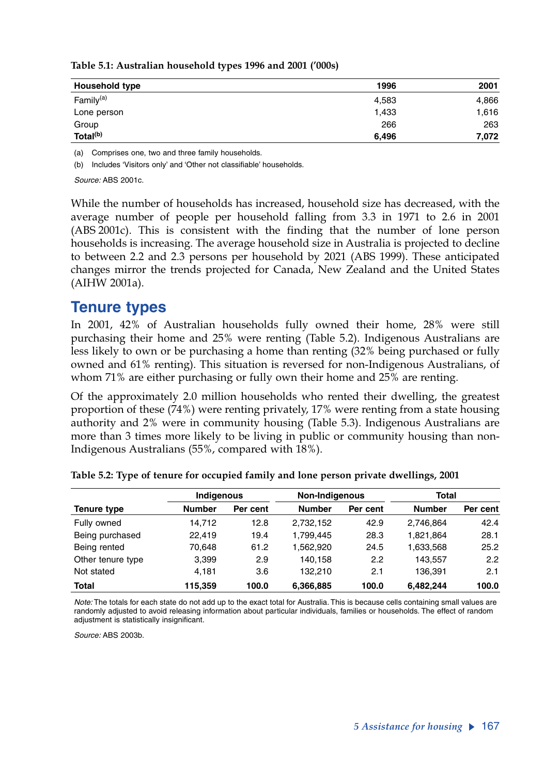| Household type        | 1996  | 2001  |
|-----------------------|-------|-------|
| Family <sup>(a)</sup> | 4,583 | 4,866 |
| Lone person           | 1,433 | 1,616 |
| Group                 | 266   | 263   |
| Total <sup>(b)</sup>  | 6.496 | 7,072 |

#### **Table 5.1: Australian household types 1996 and 2001 ('000s)**

(a) Comprises one, two and three family households.

(b) Includes 'Visitors only' and 'Other not classifiable' households.

*Source:* ABS 2001c.

While the number of households has increased, household size has decreased, with the average number of people per household falling from 3.3 in 1971 to 2.6 in 2001 (ABS 2001c). This is consistent with the finding that the number of lone person households is increasing. The average household size in Australia is projected to decline to between 2.2 and 2.3 persons per household by 2021 (ABS 1999). These anticipated changes mirror the trends projected for Canada, New Zealand and the United States (AIHW 2001a).

### **Tenure types**

In 2001, 42% of Australian households fully owned their home, 28% were still purchasing their home and 25% were renting (Table 5.2). Indigenous Australians are less likely to own or be purchasing a home than renting (32% being purchased or fully owned and 61% renting). This situation is reversed for non-Indigenous Australians, of whom 71% are either purchasing or fully own their home and 25% are renting.

Of the approximately 2.0 million households who rented their dwelling, the greatest proportion of these (74%) were renting privately, 17% were renting from a state housing authority and 2% were in community housing (Table 5.3). Indigenous Australians are more than 3 times more likely to be living in public or community housing than non-Indigenous Australians (55%, compared with 18%).

|                   | Indigenous    | Non-Indigenous |               |          | <b>Total</b>  |               |
|-------------------|---------------|----------------|---------------|----------|---------------|---------------|
| Tenure type       | <b>Number</b> | Per cent       | <b>Number</b> | Per cent | <b>Number</b> | Per cent      |
| Fully owned       | 14.712        | 12.8           | 2,732,152     | 42.9     | 2.746.864     | 42.4          |
| Being purchased   | 22.419        | 19.4           | 1,799,445     | 28.3     | 1,821,864     | 28.1          |
| Being rented      | 70.648        | 61.2           | 1.562.920     | 24.5     | 1,633,568     | 25.2          |
| Other tenure type | 3,399         | 2.9            | 140.158       | 2.2      | 143.557       | $2.2^{\circ}$ |
| Not stated        | 4.181         | 3.6            | 132.210       | 2.1      | 136.391       | 2.1           |
| <b>Total</b>      | 115.359       | 100.0          | 6,366,885     | 100.0    | 6.482.244     | 100.0         |

|  |  |  |  | Table 5.2: Type of tenure for occupied family and lone person private dwellings, 2001 |  |
|--|--|--|--|---------------------------------------------------------------------------------------|--|
|  |  |  |  |                                                                                       |  |

*Note:* The totals for each state do not add up to the exact total for Australia. This is because cells containing small values are randomly adjusted to avoid releasing information about particular individuals, families or households. The effect of random adjustment is statistically insignificant.

*Source:* ABS 2003b.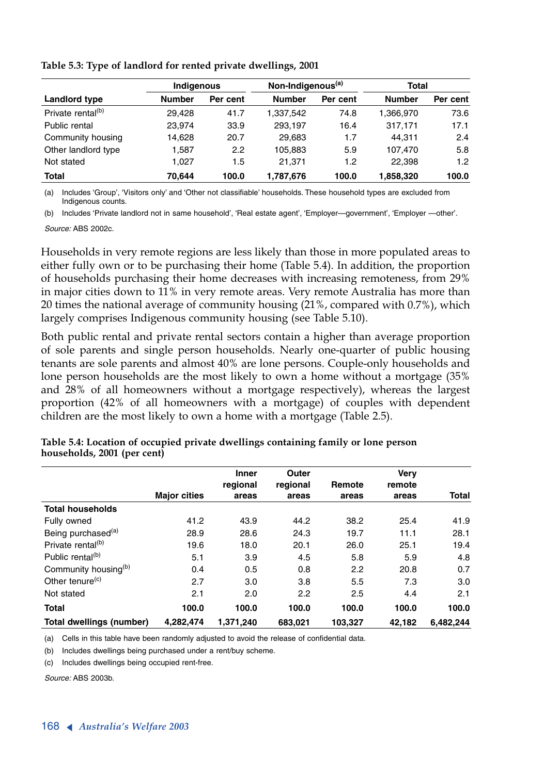|                               |               | Non-Indigenous <sup>(a)</sup><br>Indigenous |               | Total    |               |          |
|-------------------------------|---------------|---------------------------------------------|---------------|----------|---------------|----------|
| Landlord type                 | <b>Number</b> | Per cent                                    | <b>Number</b> | Per cent | <b>Number</b> | Per cent |
| Private rental <sup>(b)</sup> | 29.428        | 41.7                                        | 1.337.542     | 74.8     | 1.366.970     | 73.6     |
| Public rental                 | 23,974        | 33.9                                        | 293.197       | 16.4     | 317.171       | 17.1     |
| Community housing             | 14,628        | 20.7                                        | 29.683        | 1.7      | 44.311        | 2.4      |
| Other landlord type           | 1,587         | 2.2                                         | 105,883       | 5.9      | 107.470       | 5.8      |
| Not stated                    | 1.027         | 1.5                                         | 21.371        | 1.2      | 22.398        | 1.2      |
| <b>Total</b>                  | 70.644        | 100.0                                       | 1,787,676     | 100.0    | 1,858,320     | 100.0    |

**Table 5.3: Type of landlord for rented private dwellings, 2001**

(a) Includes 'Group', 'Visitors only' and 'Other not classifiable' households. These household types are excluded from Indigenous counts.

(b) Includes 'Private landlord not in same household', 'Real estate agent', 'Employer—government', 'Employer —other'.

*Source:* ABS 2002c.

Households in very remote regions are less likely than those in more populated areas to either fully own or to be purchasing their home (Table 5.4). In addition, the proportion of households purchasing their home decreases with increasing remoteness, from 29% in major cities down to 11% in very remote areas. Very remote Australia has more than 20 times the national average of community housing (21%, compared with 0.7%), which largely comprises Indigenous community housing (see Table 5.10).

Both public rental and private rental sectors contain a higher than average proportion of sole parents and single person households. Nearly one-quarter of public housing tenants are sole parents and almost 40% are lone persons. Couple-only households and lone person households are the most likely to own a home without a mortgage (35% and 28% of all homeowners without a mortgage respectively), whereas the largest proportion (42% of all homeowners with a mortgage) of couples with dependent children are the most likely to own a home with a mortgage (Table 2.5).

|                                  |                     | <b>Inner</b> | Outer    |         | Verv   |           |
|----------------------------------|---------------------|--------------|----------|---------|--------|-----------|
|                                  |                     | regional     | regional | Remote  | remote |           |
|                                  | <b>Major cities</b> | areas        | areas    | areas   | areas  | Total     |
| <b>Total households</b>          |                     |              |          |         |        |           |
| Fully owned                      | 41.2                | 43.9         | 44.2     | 38.2    | 25.4   | 41.9      |
| Being purchased <sup>(a)</sup>   | 28.9                | 28.6         | 24.3     | 19.7    | 11.1   | 28.1      |
| Private rental <sup>(b)</sup>    | 19.6                | 18.0         | 20.1     | 26.0    | 25.1   | 19.4      |
| Public rental <sup>(b)</sup>     | 5.1                 | 3.9          | 4.5      | 5.8     | 5.9    | 4.8       |
| Community housing <sup>(b)</sup> | 0.4                 | 0.5          | 0.8      | 2.2     | 20.8   | 0.7       |
| Other tenure <sup>(c)</sup>      | 2.7                 | 3.0          | 3.8      | 5.5     | 7.3    | 3.0       |
| Not stated                       | 2.1                 | 2.0          | 2.2      | 2.5     | 4.4    | 2.1       |
| <b>Total</b>                     | 100.0               | 100.0        | 100.0    | 100.0   | 100.0  | 100.0     |
| Total dwellings (number)         | 4.282.474           | 1.371.240    | 683,021  | 103.327 | 42.182 | 6,482,244 |

**Table 5.4: Location of occupied private dwellings containing family or lone person households, 2001 (per cent)**

(a) Cells in this table have been randomly adjusted to avoid the release of confidential data.

(b) Includes dwellings being purchased under a rent/buy scheme.

(c) Includes dwellings being occupied rent-free.

*Source:* ABS 2003b.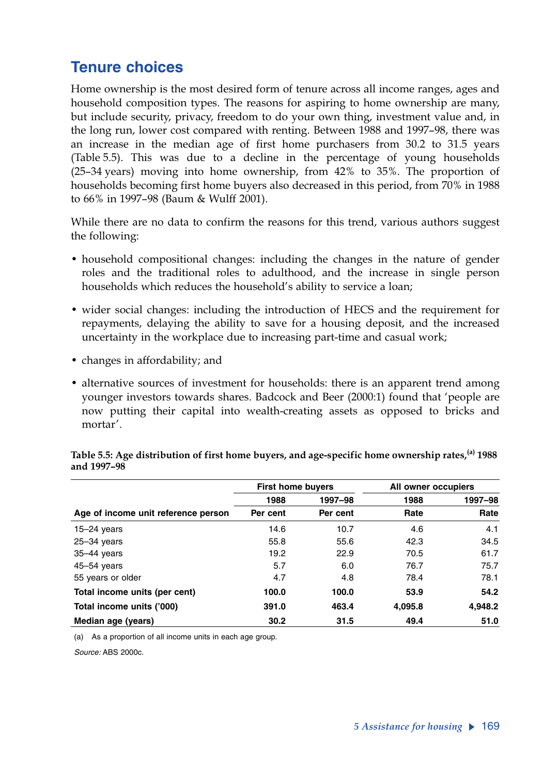# **Tenure choices**

Home ownership is the most desired form of tenure across all income ranges, ages and household composition types. The reasons for aspiring to home ownership are many, but include security, privacy, freedom to do your own thing, investment value and, in the long run, lower cost compared with renting. Between 1988 and 1997–98, there was an increase in the median age of first home purchasers from 30.2 to 31.5 years (Table 5.5). This was due to a decline in the percentage of young households (25–34 years) moving into home ownership, from 42% to 35%. The proportion of households becoming first home buyers also decreased in this period, from 70% in 1988 to 66% in 1997–98 (Baum & Wulff 2001).

While there are no data to confirm the reasons for this trend, various authors suggest the following:

- household compositional changes: including the changes in the nature of gender roles and the traditional roles to adulthood, and the increase in single person households which reduces the household's ability to service a loan;
- wider social changes: including the introduction of HECS and the requirement for repayments, delaying the ability to save for a housing deposit, and the increased uncertainty in the workplace due to increasing part-time and casual work;
- changes in affordability; and
- alternative sources of investment for households: there is an apparent trend among younger investors towards shares. Badcock and Beer (2000:1) found that 'people are now putting their capital into wealth-creating assets as opposed to bricks and mortar'.

|                                     | <b>First home buyers</b> |          | All owner occupiers |         |
|-------------------------------------|--------------------------|----------|---------------------|---------|
|                                     | 1988                     | 1997-98  | 1988                | 1997-98 |
| Age of income unit reference person | Per cent                 | Per cent | Rate                | Rate    |
| $15 - 24$ years                     | 14.6                     | 10.7     | 4.6                 | 4.1     |
| $25 - 34$ years                     | 55.8                     | 55.6     | 42.3                | 34.5    |
| $35-44$ years                       | 19.2                     | 22.9     | 70.5                | 61.7    |
| $45 - 54$ years                     | 5.7                      | 6.0      | 76.7                | 75.7    |
| 55 years or older                   | 4.7                      | 4.8      | 78.4                | 78.1    |
| Total income units (per cent)       | 100.0                    | 100.0    | 53.9                | 54.2    |
| Total income units ('000)           | 391.0                    | 463.4    | 4,095.8             | 4,948.2 |
| Median age (years)                  | 30.2                     | 31.5     | 49.4                | 51.0    |

Table 5.5: Age distribution of first home buyers, and age-specific home ownership rates,<sup>(a)</sup> 1988 **and 1997–98** 

(a) As a proportion of all income units in each age group.

*Source:* ABS 2000c.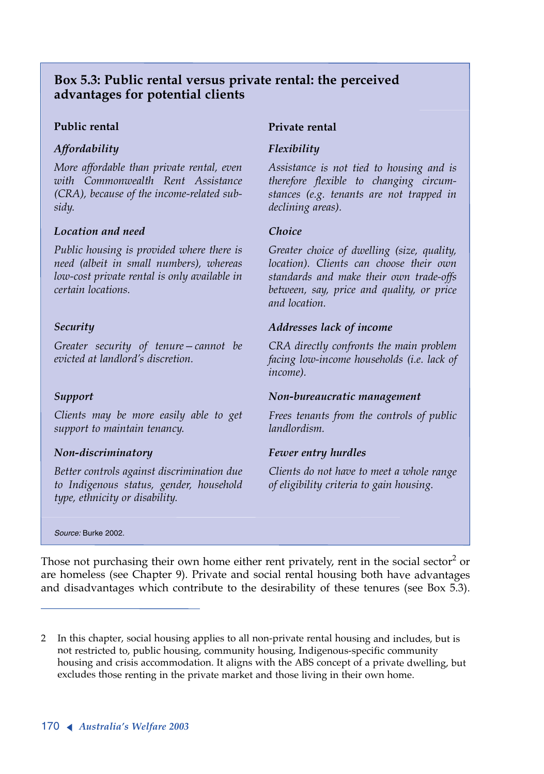### **Box 5.3: Public rental versus private rental: the perceived advantages for potential clients**

### **Public rental**

### *Affordability*

*More affordable than private rental, even with Commonwealth Rent Assistance (CRA), because of the income-related subsidy.*

#### *Location and need*

*Public housing is provided where there is need (albeit in small numbers), whereas low-cost private rental is only available in certain locations.*

### *Security*

*Greater security of tenure—cannot be evicted at landlord's discretion.*

### *Support*

*Clients may be more easily able to get support to maintain tenancy.*

### *Non-discriminatory*

*Better controls against discrimination due to Indigenous status, gender, household type, ethnicity or disability.*

#### **Private rental**

#### *Flexibility*

*Assistance is not tied to housing and is therefore flexible to changing circumstances (e.g. tenants are not trapped in declining areas).*

#### *Choice*

*Greater choice of dwelling (size, quality, location). Clients can choose their own standards and make their own trade-offs between, say, price and quality, or price and location.*

### *Addresses lack of income*

*CRA directly confronts the main problem facing low-income households (i.e. lack of income).*

#### *Non-bureaucratic management*

*Frees tenants from the controls of public landlordism.*

### *Fewer entry hurdles*

*Clients do not have to meet a whole range of eligibility criteria to gain housing.*

*Source:* Burke 2002.

Those not purchasing their own home either rent privately, rent in the social sector<sup>2</sup> or are homeless (see Chapter 9). Private and social rental housing both have advantages and disadvantages which contribute to the desirability of these tenures (see Box 5.3).

<sup>2</sup> In this chapter, social housing applies to all non-private rental housing and includes, but is not restricted to, public housing, community housing, Indigenous-specific community housing and crisis accommodation. It aligns with the ABS concept of a private dwelling, but excludes those renting in the private market and those living in their own home.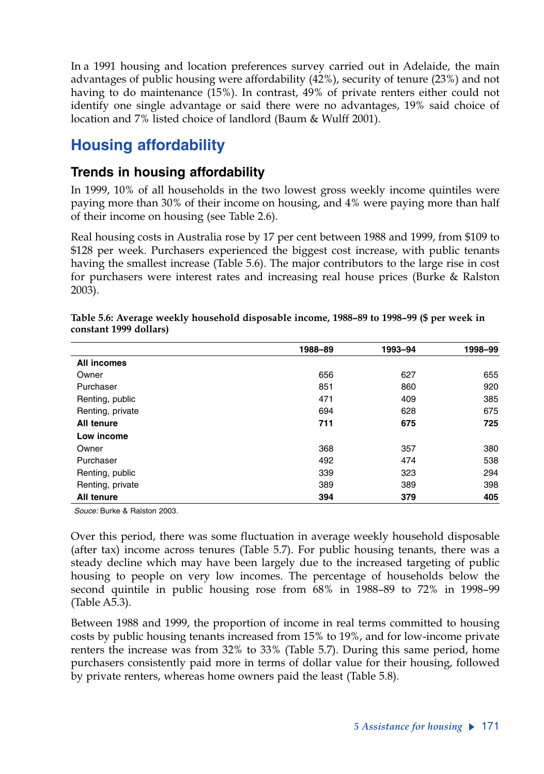In a 1991 housing and location preferences survey carried out in Adelaide, the main advantages of public housing were affordability (42%), security of tenure (23%) and not having to do maintenance (15%). In contrast, 49% of private renters either could not identify one single advantage or said there were no advantages, 19% said choice of location and 7% listed choice of landlord (Baum & Wulff 2001).

# **Housing affordability**

## **Trends in housing affordability**

In 1999, 10% of all households in the two lowest gross weekly income quintiles were paying more than 30% of their income on housing, and 4% were paying more than half of their income on housing (see Table 2.6).

Real housing costs in Australia rose by 17 per cent between 1988 and 1999, from \$109 to \$128 per week. Purchasers experienced the biggest cost increase, with public tenants having the smallest increase (Table 5.6). The major contributors to the large rise in cost for purchasers were interest rates and increasing real house prices (Burke & Ralston 2003).

|                  | 1988-89 | 1993-94 | 1998-99 |
|------------------|---------|---------|---------|
| All incomes      |         |         |         |
| Owner            | 656     | 627     | 655     |
| Purchaser        | 851     | 860     | 920     |
| Renting, public  | 471     | 409     | 385     |
| Renting, private | 694     | 628     | 675     |
| All tenure       | 711     | 675     | 725     |
| Low income       |         |         |         |
| Owner            | 368     | 357     | 380     |
| Purchaser        | 492     | 474     | 538     |
| Renting, public  | 339     | 323     | 294     |
| Renting, private | 389     | 389     | 398     |
| All tenure       | 394     | 379     | 405     |

| Table 5.6: Average weekly household disposable income, 1988–89 to 1998–99 (\$ per week in |  |
|-------------------------------------------------------------------------------------------|--|
| constant 1999 dollars)                                                                    |  |

*Souce:* Burke & Ralston 2003.

Over this period, there was some fluctuation in average weekly household disposable (after tax) income across tenures (Table 5.7). For public housing tenants, there was a steady decline which may have been largely due to the increased targeting of public housing to people on very low incomes. The percentage of households below the second quintile in public housing rose from 68% in 1988–89 to 72% in 1998–99 (Table A5.3).

Between 1988 and 1999, the proportion of income in real terms committed to housing costs by public housing tenants increased from 15% to 19%, and for low-income private renters the increase was from 32% to 33% (Table 5.7). During this same period, home purchasers consistently paid more in terms of dollar value for their housing, followed by private renters, whereas home owners paid the least (Table 5.8).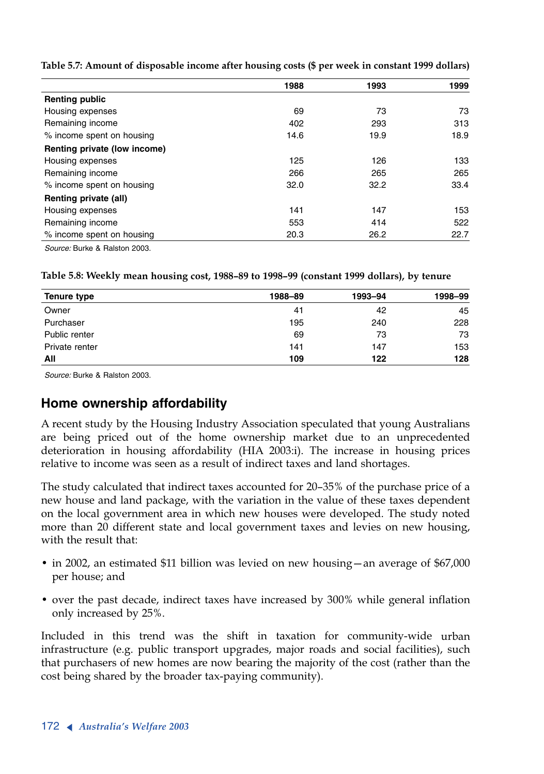|                              | 1988 | 1993 | 1999 |
|------------------------------|------|------|------|
| <b>Renting public</b>        |      |      |      |
| Housing expenses             | 69   | 73   | 73   |
| Remaining income             | 402  | 293  | 313  |
| % income spent on housing    | 14.6 | 19.9 | 18.9 |
| Renting private (low income) |      |      |      |
| Housing expenses             | 125  | 126  | 133  |
| Remaining income             | 266  | 265  | 265  |
| % income spent on housing    | 32.0 | 32.2 | 33.4 |
| Renting private (all)        |      |      |      |
| Housing expenses             | 141  | 147  | 153  |
| Remaining income             | 553  | 414  | 522  |
| % income spent on housing    | 20.3 | 26.2 | 22.7 |

**Table 5.7: Amount of disposable income after housing costs (\$ per week in constant 1999 dollars)**

*Source:* Burke & Ralston 2003.

**Table 5.8: Weekly mean housing cost, 1988–89 to 1998–99 (constant 1999 dollars), by tenure**

| Tenure type    | 1988-89 | 1993-94 | 1998-99 |
|----------------|---------|---------|---------|
| Owner          | 41      | 42      | 45      |
| Purchaser      | 195     | 240     | 228     |
| Public renter  | 69      | 73      | 73      |
| Private renter | 141     | 147     | 153     |
| All            | 109     | 122     | 128     |

*Source:* Burke & Ralston 2003.

### **Home ownership affordability**

<sup>A</sup> recent study by the Housing Industry Association speculated that young Australians are being priced out of the home ownership market due to an unprecedented deterioration in housing affordability (HIA 2003:i). The increase in housing prices relative to income was seen as a result of indirect taxes and land shortages.

The study calculated that indirect taxes accounted for 20–35% of the purchase price of a new house and land package, with the variation in the value of these taxes dependent on the local government area in which new houses were developed. The study noted more than 20 different state and local government taxes and levies on new housing, with the result that:

- in 2002, an estimated \$11 billion was levied on new housing—an average of \$67,000 per house; and
- over the past decade, indirect taxes have increased by 300% while general inflation only increased by 25%.

Included in this trend was the shift in taxation for community-wide urban infrastructure (e.g. public transport upgrades, major roads and social facilities), such that purchasers of new homes are now bearing the majority of the cost (rather than the cost being shared by the broader tax-paying community).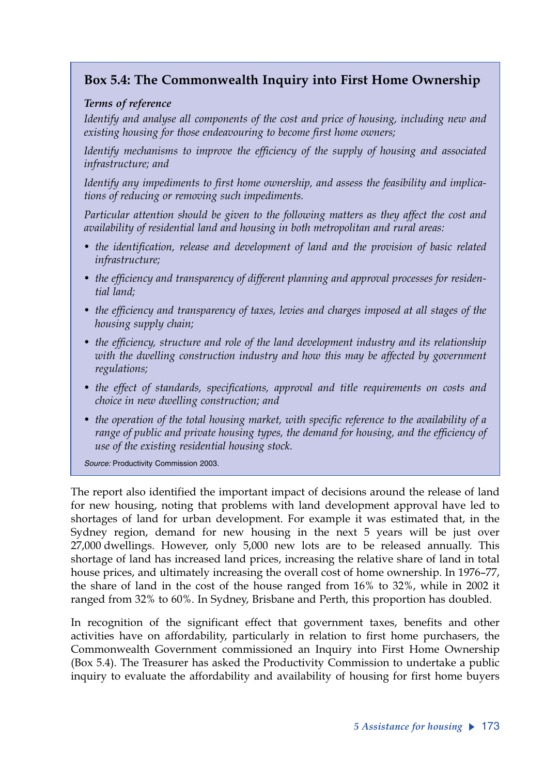### **Box 5.4: The Commonwealth Inquiry into First Home Ownership**

### *Terms of reference*

*Identify and analyse all components of the cost and price of housing, including new and existing housing for those endeavouring to become first home owners;* 

*Identify mechanisms to improve the efficiency of the supply of housing and associated infrastructure; and*

*Identify any impediments to first home ownership, and assess the feasibility and implications of reducing or removing such impediments.*

*Particular attention should be given to the following matters as they affect the cost and availability of residential land and housing in both metropolitan and rural areas:* 

- *the identification, release and development of land and the provision of basic related infrastructure;*
- *the efficiency and transparency of different planning and approval processes for residential land;*
- *the efficiency and transparency of taxes, levies and charges imposed at all stages of the housing supply chain;*
- *the efficiency, structure and role of the land development industry and its relationship with the dwelling construction industry and how this may be affected by government regulations;*
- *the effect of standards, specifications, approval and title requirements on costs and choice in new dwelling construction; and*
- *the operation of the total housing market, with specific reference to the availability of a range of public and private housing types, the demand for housing, and the efficiency of use of the existing residential housing stock.*

*Source:* Productivity Commission 2003.

The report also identified the important impact of decisions around the release of land for new housing, noting that problems with land development approval have led to shortages of land for urban development. For example it was estimated that, in the Sydney region, demand for new housing in the next 5 years will be just over 27,000 dwellings. However, only 5,000 new lots are to be released annually. This shortage of land has increased land prices, increasing the relative share of land in total house prices, and ultimately increasing the overall cost of home ownership. In 1976–77, the share of land in the cost of the house ranged from 16% to 32%, while in 2002 it ranged from 32% to 60%. In Sydney, Brisbane and Perth, this proportion has doubled.

In recognition of the significant effect that government taxes, benefits and other activities have on affordability, particularly in relation to first home purchasers, the Commonwealth Government commissioned an Inquiry into First Home Ownership (Box 5.4). The Treasurer has asked the Productivity Commission to undertake a public inquiry to evaluate the affordability and availability of housing for first home buyers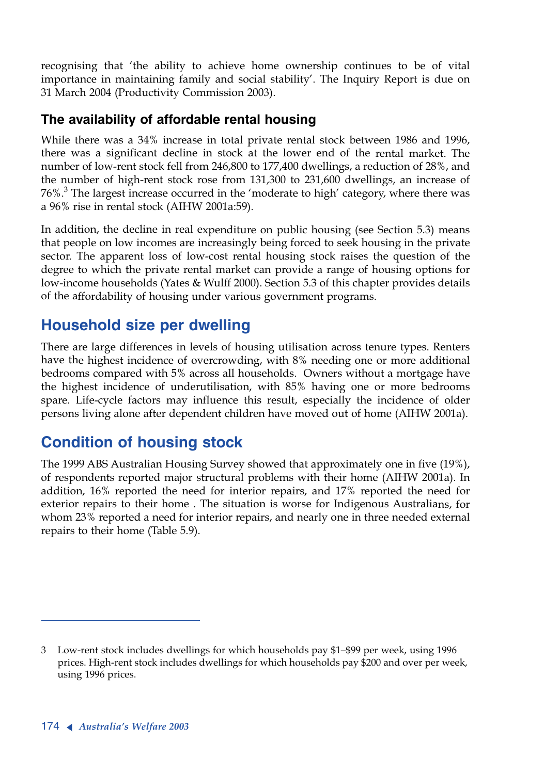recognising that 'the ability to achieve home ownership continues to be of vital importance in maintaining family and social stability'. The Inquiry Report is due on 31 March 2004 (Productivity Commission 2003).

## **The availability of affordable rental housing**

While there was a 34% increase in total private rental stock between 1986 and 1996, there was a significant decline in stock at the lower end of the rental market. The number of low-rent stock fell from 246,800 to 177,400 dwellings, a reduction of 28%, and the number of high-rent stock rose from 131,300 to 231,600 dwellings, an increase of  $76\%$ .<sup>3</sup> The largest increase occurred in the 'moderate to high' category, where there was a 96% rise in rental stock (AIHW 2001a:59).

In addition, the decline in real expenditure on public housing (see Section 5.3) means that people on low incomes are increasingly being forced to seek housing in the private sector. The apparent loss of low-cost rental housing stock raises the question of the degree to which the private rental market can provide a range of housing options for low-income households (Yates & Wulff 2000). Section 5.3 of this chapter provides details of the affordability of housing under various government programs.

# **Household size per dwelling**

There are large differences in levels of housing utilisation across tenure types. Renters have the highest incidence of overcrowding, with 8% needing one or more additional bedrooms compared with 5% across all households. Owners without a mortgage have the highest incidence of underutilisation, with 85% having one or more bedrooms spare. Life-cycle factors may influence this result, especially the incidence of older persons living alone after dependent children have moved out of home (AIHW 2001a).

# **Condition of housing stock**

The 1999 ABS Australian Housing Survey showed that approximately one in five (19%), of respondents reported major structural problems with their home (AIHW 2001a). In addition, 16% reported the need for interior repairs, and 17% reported the need for exterior repairs to their home . The situation is worse for Indigenous Australians, for whom 23% reported a need for interior repairs, and nearly one in three needed external repairs to their home (Table 5.9).

<sup>3</sup> Low-rent stock includes dwellings for which households pay \$1–\$99 per week, using 1996 prices. High-rent stock includes dwellings for which households pay \$200 and over per week, using 1996 prices.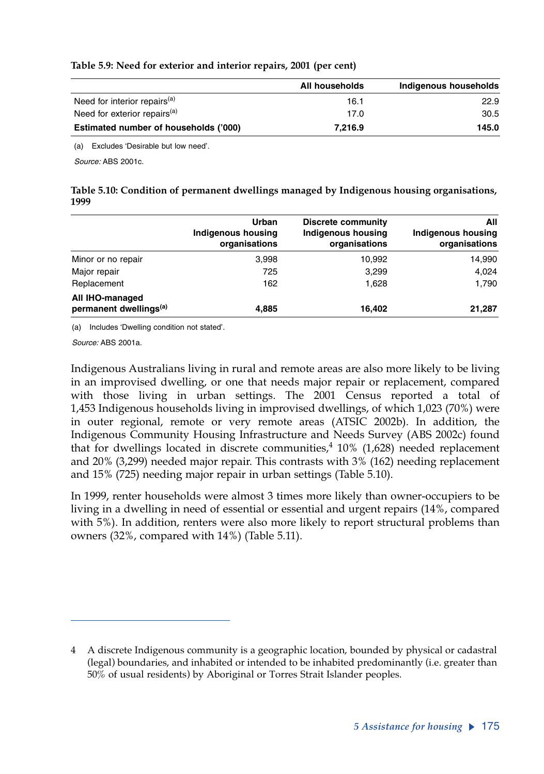#### **Table 5.9: Need for exterior and interior repairs, 2001 (per cent)**

|                                          | All households | Indigenous households |
|------------------------------------------|----------------|-----------------------|
| Need for interior repairs <sup>(a)</sup> | 16.1           | 22.9                  |
| Need for exterior repairs <sup>(a)</sup> | 17.0           | 30.5                  |
| Estimated number of households ('000)    | 7.216.9        | 145.0                 |

(a) Excludes 'Desirable but low need'.

*Source:* ABS 2001c.

**Table 5.10: Condition of permanent dwellings managed by Indigenous housing organisations, 1999**

|                                                       | Urban<br>Indigenous housing<br>organisations | <b>Discrete community</b><br><b>Indigenous housing</b><br>organisations | All<br>Indigenous housing<br>organisations |
|-------------------------------------------------------|----------------------------------------------|-------------------------------------------------------------------------|--------------------------------------------|
| Minor or no repair                                    | 3,998                                        | 10.992                                                                  | 14,990                                     |
| Major repair                                          | 725                                          | 3,299                                                                   | 4,024                                      |
| Replacement                                           | 162                                          | 1.628                                                                   | 1,790                                      |
| All IHO-managed<br>permanent dwellings <sup>(a)</sup> | 4,885                                        | 16.402                                                                  | 21,287                                     |

(a) Includes 'Dwelling condition not stated'.

*Source:* ABS 2001a.

Indigenous Australians living in rural and remote areas are also more likely to be living in an improvised dwelling, or one that needs major repair or replacement, compared with those living in urban settings. The 2001 Census reported a total of 1,453 Indigenous households living in improvised dwellings, of which 1,023 (70%) were in outer regional, remote or very remote areas (ATSIC 2002b). In addition, the Indigenous Community Housing Infrastructure and Needs Survey (ABS 2002c) found that for dwellings located in discrete communities, $4\,$  10% (1,628) needed replacement and 20% (3,299) needed major repair. This contrasts with 3% (162) needing replacement and 15% (725) needing major repair in urban settings (Table 5.10).

In 1999, renter households were almost 3 times more likely than owner-occupiers to be living in a dwelling in need of essential or essential and urgent repairs (14%, compared with 5%). In addition, renters were also more likely to report structural problems than owners (32%, compared with 14%) (Table 5.11).

<sup>4</sup> A discrete Indigenous community is a geographic location, bounded by physical or cadastral (legal) boundaries, and inhabited or intended to be inhabited predominantly (i.e. greater than 50% of usual residents) by Aboriginal or Torres Strait Islander peoples.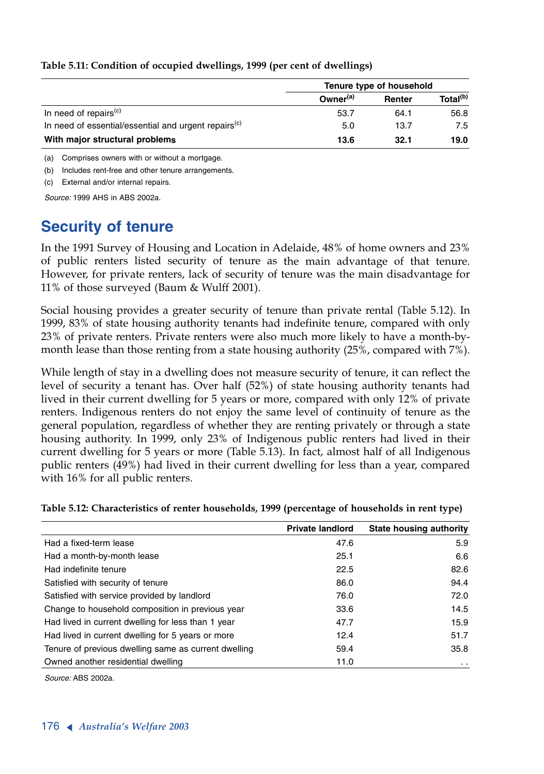|                                                                  | Tenure type of household |        |                      |  |  |  |
|------------------------------------------------------------------|--------------------------|--------|----------------------|--|--|--|
|                                                                  | Owner <sup>(a)</sup>     | Renter | Total <sup>(b)</sup> |  |  |  |
| In need of repairs <sup>(c)</sup>                                | 53.7                     | 64.1   | 56.8                 |  |  |  |
| In need of essential/essential and urgent repairs <sup>(c)</sup> | 5.0                      | 13.7   | 7.5                  |  |  |  |
| With major structural problems                                   | 13.6                     | 32.1   | 19.0                 |  |  |  |

#### **Table 5.11: Condition of occupied dwellings, 1999 (per cent of dwellings)**

(a) Comprises owners with or without a mortgage.

(b) Includes rent-free and other tenure arrangements.

(c) External and/or internal repairs.

*Source:* 1999 AHS in ABS 2002a.

# **Security of tenure**

In the 1991 Survey of Housing and Location in Adelaide, 48% of home owners and 23% of public renters listed security of tenure as the main advantage of that tenure. However, for private renters, lack of security of tenure was the main disadvantage for 11% of those surveyed (Baum & Wulff 2001).

Social housing provides a greater security of tenure than private rental (Table 5.12). In 1999, 83% of state housing authority tenants had indefinite tenure, compared with only 23% of private renters. Private renters were also much more likely to have a month-bymonth lease than those renting from a state housing authority (25%, compared with 7%).

While length of stay in a dwelling does not measure security of tenure, it can reflect the level of security a tenant has. Over half (52%) of state housing authority tenants had lived in their current dwelling for 5 years or more, compared with only 12% of private renters. Indigenous renters do not enjoy the same level of continuity of tenure as the general population, regardless of whether they are renting privately or through a state housing authority. In 1999, only 23% of Indigenous public renters had lived in their current dwelling for 5 years or more (Table 5.13). In fact, almost half of all Indigenous public renters (49%) had lived in their current dwelling for less than a year, compared with 16% for all public renters.

|                                                      | <b>Private landlord</b> | State housing authority |
|------------------------------------------------------|-------------------------|-------------------------|
| Had a fixed-term lease                               | 47.6                    | 5.9                     |
| Had a month-by-month lease                           | 25.1                    | 6.6                     |
| Had indefinite tenure                                | 22.5                    | 82.6                    |
| Satisfied with security of tenure                    | 86.0                    | 94.4                    |
| Satisfied with service provided by landlord          | 76.0                    | 72.0                    |
| Change to household composition in previous year     | 33.6                    | 14.5                    |
| Had lived in current dwelling for less than 1 year   | 47.7                    | 15.9                    |
| Had lived in current dwelling for 5 years or more    | 12.4                    | 51.7                    |
| Tenure of previous dwelling same as current dwelling | 59.4                    | 35.8                    |
| Owned another residential dwelling                   | 11.0                    | $\ddot{\phantom{a}}$    |

**Table 5.12: Characteristics of renter households, 1999 (percentage of households in rent type)**

*Source:* ABS 2002a.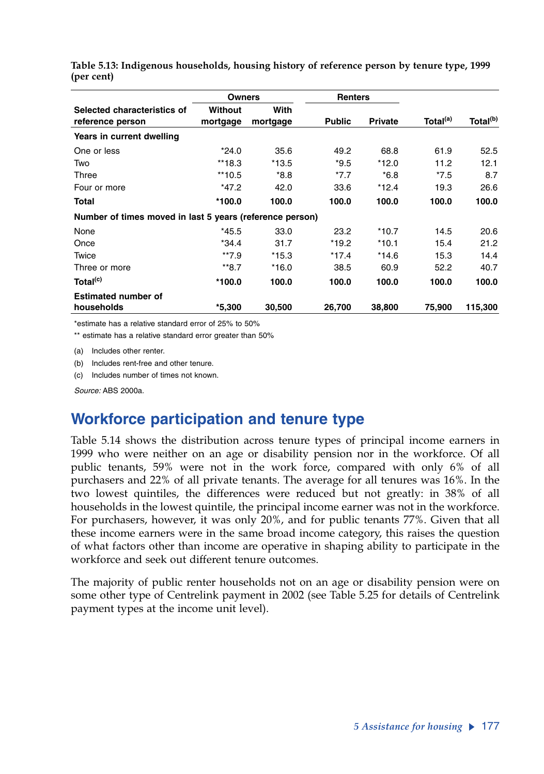|                                                          |                     | <b>Owners</b>    |               | <b>Renters</b> |                      |                      |
|----------------------------------------------------------|---------------------|------------------|---------------|----------------|----------------------|----------------------|
| Selected characteristics of<br>reference person          | Without<br>mortgage | With<br>mortgage | <b>Public</b> | <b>Private</b> | Total <sup>(a)</sup> | Total <sup>(b)</sup> |
| Years in current dwelling                                |                     |                  |               |                |                      |                      |
| One or less                                              | $*24.0$             | 35.6             | 49.2          | 68.8           | 61.9                 | 52.5                 |
| Two                                                      | $**18.3$            | $*13.5$          | $*9.5$        | $*12.0$        | 11.2                 | 12.1                 |
| Three                                                    | $**10.5$            | $*8.8$           | $*7.7$        | $*6.8$         | $*7.5$               | 8.7                  |
| Four or more                                             | $*47.2$             | 42.0             | 33.6          | *12.4          | 19.3                 | 26.6                 |
| Total                                                    | $*100.0$            | 100.0            | 100.0         | 100.0          | 100.0                | 100.0                |
| Number of times moved in last 5 years (reference person) |                     |                  |               |                |                      |                      |
| None                                                     | $*45.5$             | 33.0             | 23.2          | *10.7          | 14.5                 | 20.6                 |
| Once                                                     | $*34.4$             | 31.7             | $*19.2$       | $*10.1$        | 15.4                 | 21.2                 |
| Twice                                                    | $**7.9$             | $*15.3$          | $*17.4$       | *14.6          | 15.3                 | 14.4                 |
| Three or more                                            | $**8.7$             | $*16.0$          | 38.5          | 60.9           | 52.2                 | 40.7                 |
| Total <sup>(c)</sup>                                     | $*100.0$            | 100.0            | 100.0         | 100.0          | 100.0                | 100.0                |
| <b>Estimated number of</b>                               |                     |                  |               |                |                      |                      |
| households                                               | $*5,300$            | 30,500           | 26,700        | 38,800         | 75,900               | 115,300              |

**Table 5.13: Indigenous households, housing history of reference person by tenure type, 1999 (per cent)**

\*estimate has a relative standard error of 25% to 50%

\*\* estimate has a relative standard error greater than 50%

(a) Includes other renter.

(b) Includes rent-free and other tenure.

(c) Includes number of times not known.

*Source:* ABS 2000a.

## **Workforce participation and tenure type**

Table 5.14 shows the distribution across tenure types of principal income earners in 1999 who were neither on an age or disability pension nor in the workforce. Of all public tenants, 59% were not in the work force, compared with only 6% of all purchasers and 22% of all private tenants. The average for all tenures was 16%. In the two lowest quintiles, the differences were reduced but not greatly: in 38% of all households in the lowest quintile, the principal income earner was not in the workforce. For purchasers, however, it was only 20%, and for public tenants 77%. Given that all these income earners were in the same broad income category, this raises the question of what factors other than income are operative in shaping ability to participate in the workforce and seek out different tenure outcomes.

The majority of public renter households not on an age or disability pension were on some other type of Centrelink payment in 2002 (see Table 5.25 for details of Centrelink payment types at the income unit level).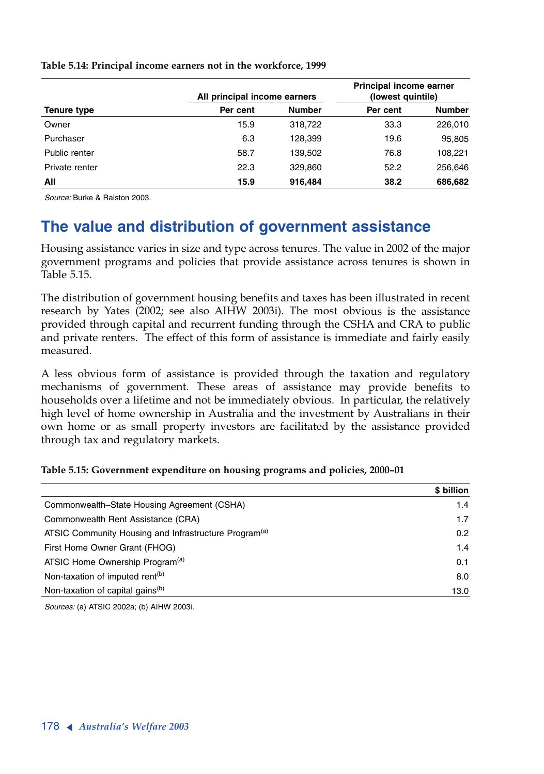|                | All principal income earners | Principal income earner<br>(lowest quintile) |          |               |
|----------------|------------------------------|----------------------------------------------|----------|---------------|
| Tenure type    | Per cent                     | <b>Number</b>                                | Per cent | <b>Number</b> |
| Owner          | 15.9                         | 318,722                                      | 33.3     | 226,010       |
| Purchaser      | 6.3                          | 128,399                                      | 19.6     | 95,805        |
| Public renter  | 58.7                         | 139,502                                      | 76.8     | 108,221       |
| Private renter | 22.3                         | 329,860                                      | 52.2     | 256,646       |
| All            | 15.9                         | 916,484                                      | 38.2     | 686,682       |

**Table 5.14: Principal income earners not in the workforce, 1999**

*Source:* Burke & Ralston 2003.

# **The value and distribution of government assistance**

Housing assistance varies in size and type across tenures. The value in 2002 of the major government programs and policies that provide assistance across tenures is shown in Table 5.15.

The distribution of government housing benefits and taxes has been illustrated in recent research by Yates (2002; see also AIHW 2003i). The most obvious is the assistance provided through capital and recurrent funding through the CSHA and CRA to public and private renters. The effect of this form of assistance is immediate and fairly easily measured.

<sup>A</sup> less obvious form of assistance is provided through the taxation and regulatory mechanisms of government. These areas of assistance may provide benefits to households over a lifetime and not be immediately obvious. In particular, the relatively high level of home ownership in Australia and the investment by Australians in their own home or as small property investors are facilitated by the assistance provided through tax and regulatory markets.

|                                                                   | \$ billion |
|-------------------------------------------------------------------|------------|
| Commonwealth–State Housing Agreement (CSHA)                       | 1.4        |
| Commonwealth Rent Assistance (CRA)                                | 1.7        |
| ATSIC Community Housing and Infrastructure Program <sup>(a)</sup> | 0.2        |
| First Home Owner Grant (FHOG)                                     | 1.4        |
| ATSIC Home Ownership Program <sup>(a)</sup>                       | 0.1        |
| Non-taxation of imputed rent <sup>(b)</sup>                       | 8.0        |
| Non-taxation of capital gains <sup>(b)</sup>                      | 13.0       |

### **Table 5.15: Government expenditure on housing programs and policies, 2000–01**

*Sources:* (a) ATSIC 2002a; (b) AIHW 2003i.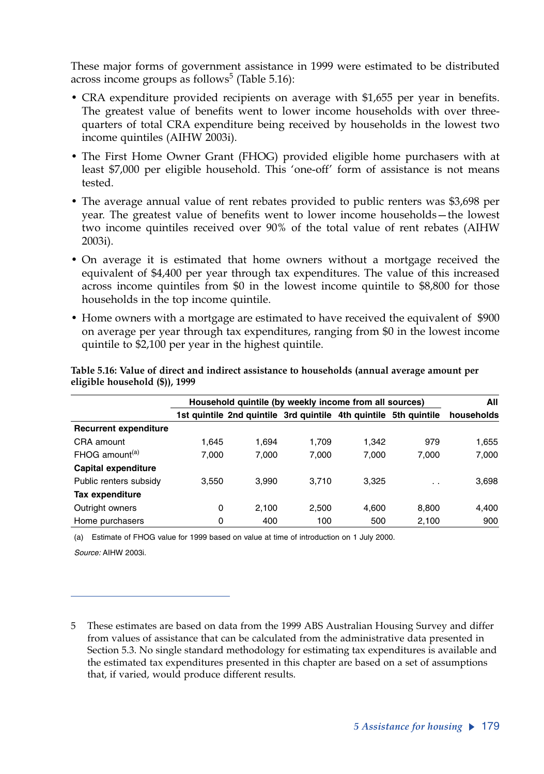These major forms of government assistance in 1999 were estimated to be distributed across income groups as follows $^5$  (Table 5.16):

- CRA expenditure provided recipients on average with \$1,655 per year in benefits. The greatest value of benefits went to lower income households with over threequarters of total CRA expenditure being received by households in the lowest two income quintiles (AIHW 2003i).
- The First Home Owner Grant (FHOG) provided eligible home purchasers with at least \$7,000 per eligible household. This 'one-off' form of assistance is not means tested.
- The average annual value of rent rebates provided to public renters was \$3,698 per year. The greatest value of benefits went to lower income households—the lowest two income quintiles received over 90% of the total value of rent rebates (AIHW 2003i).
- On average it is estimated that home owners without a mortgage received the equivalent of \$4,400 per year through tax expenditures. The value of this increased across income quintiles from \$0 in the lowest income quintile to \$8,800 for those households in the top income quintile.
- Home owners with a mortgage are estimated to have received the equivalent of \$900 on average per year through tax expenditures, ranging from \$0 in the lowest income quintile to \$2,100 per year in the highest quintile.

|                              |       | Household quintile (by weekly income from all sources)           |       |       |           |            |  |  |  |  |
|------------------------------|-------|------------------------------------------------------------------|-------|-------|-----------|------------|--|--|--|--|
|                              |       | 1st quintile 2nd quintile 3rd quintile 4th quintile 5th quintile |       |       |           | households |  |  |  |  |
| <b>Recurrent expenditure</b> |       |                                                                  |       |       |           |            |  |  |  |  |
| CRA amount                   | 1.645 | 1.694                                                            | 1.709 | 1.342 | 979       | 1,655      |  |  |  |  |
| $FHOG$ amount <sup>(a)</sup> | 7.000 | 7.000                                                            | 7.000 | 7.000 | 7.000     | 7,000      |  |  |  |  |
| Capital expenditure          |       |                                                                  |       |       |           |            |  |  |  |  |
| Public renters subsidy       | 3,550 | 3.990                                                            | 3.710 | 3.325 | $\cdot$ . | 3,698      |  |  |  |  |
| Tax expenditure              |       |                                                                  |       |       |           |            |  |  |  |  |
| Outright owners              | 0     | 2.100                                                            | 2.500 | 4.600 | 8.800     | 4,400      |  |  |  |  |
| Home purchasers              | 0     | 400                                                              | 100   | 500   | 2.100     | 900        |  |  |  |  |

**Table 5.16: Value of direct and indirect assistance to households (annual average amount per eligible household (\$)), 1999**

(a) Estimate of FHOG value for 1999 based on value at time of introduction on 1 July 2000.

*Source:* AIHW 2003i.

<sup>5</sup> These estimates are based on data from the 1999 ABS Australian Housing Survey and differ from values of assistance that can be calculated from the administrative data presented in Section 5.3. No single standard methodology for estimating tax expenditures is available and the estimated tax expenditures presented in this chapter are based on a set of assumptions that, if varied, would produce different results.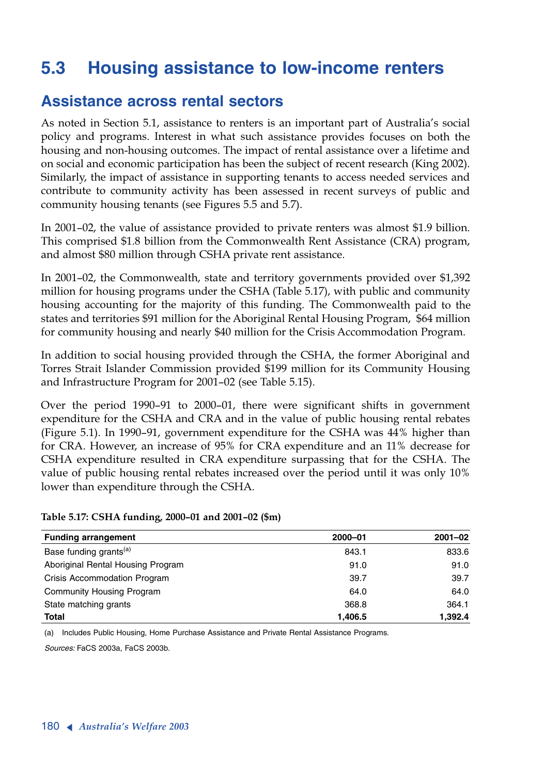# **5.3 Housing assistance to low-income renters**

## **Assistance across rental sectors**

As noted in Section 5.1, assistance to renters is an important part of Australia's social policy and programs. Interest in what such assistance provides focuses on both the housing and non-housing outcomes. The impact of rental assistance over a lifetime and on social and economic participation has been the subject of recent research (King 2002). Similarly, the impact of assistance in supporting tenants to access needed services and contribute to community activity has been assessed in recent surveys of public and community housing tenants (see Figures 5.5 and 5.7).

In 2001–02, the value of assistance provided to private renters was almost \$1.9 billion. This comprised \$1.8 billion from the Commonwealth Rent Assistance (CRA) program, and almost \$80 million through CSHA private rent assistance.

In 2001–02, the Commonwealth, state and territory governments provided over \$1,392 million for housing programs under the CSHA (Table 5.17), with public and community housing accounting for the majority of this funding. The Commonwealth paid to the states and territories \$91 million for the Aboriginal Rental Housing Program, \$64 million for community housing and nearly \$40 million for the Crisis Accommodation Program.

In addition to social housing provided through the CSHA, the former Aboriginal and Torres Strait Islander Commission provided \$199 million for its Community Housing and Infrastructure Program for 2001–02 (see Table 5.15).

Over the period 1990–91 to 2000–01, there were significant shifts in government expenditure for the CSHA and CRA and in the value of public housing rental rebates (Figure 5.1). In 1990–91, government expenditure for the CSHA was 44% higher than for CRA. However, an increase of 95% for CRA expenditure and an 11% decrease for CSHA expenditure resulted in CRA expenditure surpassing that for the CSHA. The value of public housing rental rebates increased over the period until it was only 10% lower than expenditure through the CSHA.

### **Funding arrangement 2000–01 2001–02** Base funding grants<sup>(a)</sup> 833.6 **843.1** 833.6 Aboriginal Rental Housing Program 1992 1998 1994.0 91.0 91.0 Crisis Accommodation Program 39.7 39.7 Community Housing Program 64.0 64.0 State matching grants 368.8 364.1 **Total 1,406.5 1,392.4**

### **Table 5.17: CSHA funding, 2000–01 and 2001–02 (\$m)**

(a) Includes Public Housing, Home Purchase Assistance and Private Rental Assistance Programs.

*Sources:* FaCS 2003a, FaCS 2003b.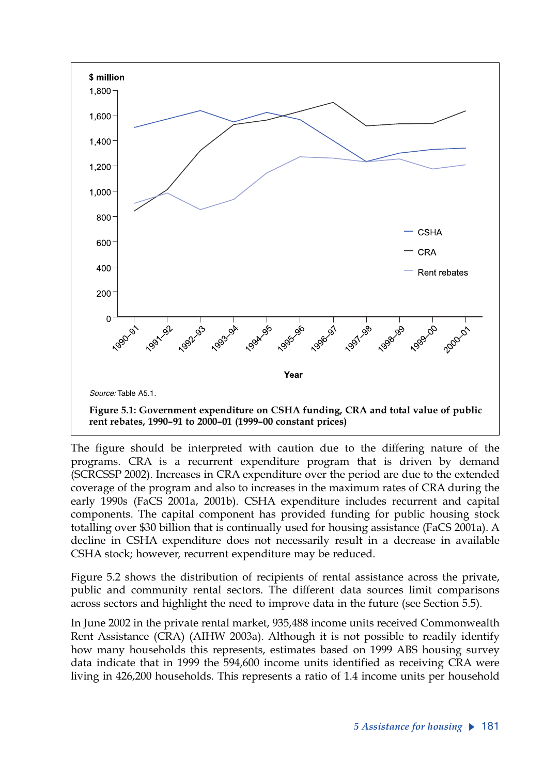

The figure should be interpreted with caution due to the differing nature of the programs. CRA is a recurrent expenditure program that is driven by demand (SCRCSSP 2002). Increases in CRA expenditure over the period are due to the extended coverage of the program and also to increases in the maximum rates of CRA during the early 1990s (FaCS 2001a, 2001b). CSHA expenditure includes recurrent and capital components. The capital component has provided funding for public housing stock totalling over \$30 billion that is continually used for housing assistance (FaCS 2001a). A decline in CSHA expenditure does not necessarily result in a decrease in available CSHA stock; however, recurrent expenditure may be reduced.

Figure 5.2 shows the distribution of recipients of rental assistance across the private, public and community rental sectors. The different data sources limit comparisons across sectors and highlight the need to improve data in the future (see Section 5.5).

In June 2002 in the private rental market, 935,488 income units received Commonwealth Rent Assistance (CRA) (AIHW 2003a). Although it is not possible to readily identify how many households this represents, estimates based on 1999 ABS housing survey data indicate that in 1999 the 594,600 income units identified as receiving CRA were living in 426,200 households. This represents a ratio of 1.4 income units per household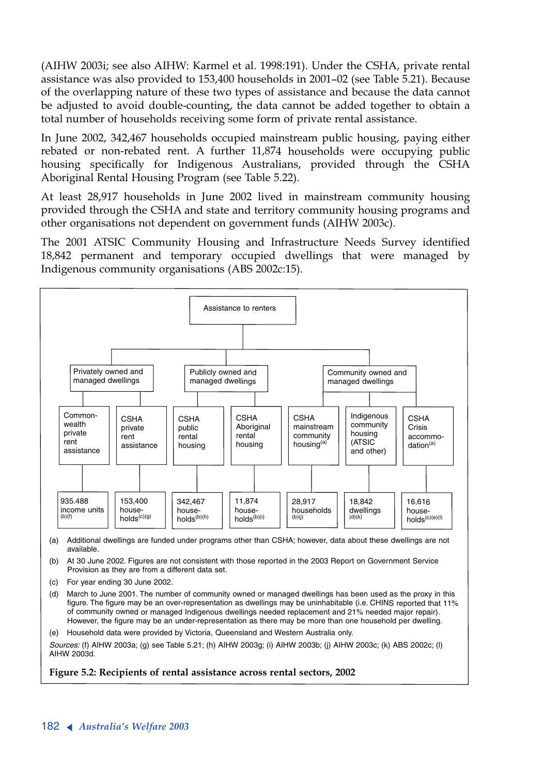(AIHW 2003i; see also AIHW: Karmel et al. 1998:191). Under the CSHA, private rental assistance was also provided to 153,400 households in 2001–02 (see Table 5.21). Because of the overlapping nature of these two types of assistance and because the data cannot be adjusted to avoid double-counting, the data cannot be added together to obtain a total number of households receiving some form of private rental assistance.

In June 2002, 342,467 households occupied mainstream public housing, paying either rebated or non-rebated rent. A further 11,874 households were occupying public housing specifically for Indigenous Australians, provided through the CSHA Aboriginal Rental Housing Program (see Table 5.22).

At least 28,917 households in June 2002 lived in mainstream community housing provided through the CSHA and state and territory community housing programs and other organisations not dependent on government funds (AIHW 2003c).

The 2001 ATSIC Community Housing and Infrastructure Needs Survey identified 18,842 permanent and temporary occupied dwellings that were managed by Indigenous community organisations (ABS 2002c:15).



(a) Additional dwellings are funded under programs other than CSHA; however, data about these dwellings are not available.

(b) At 30 June 2002. Figures are not consistent with those reported in the 2003 Report on Government Service Provision as they are from a different data set.

- (c) For year ending 30 June 2002.
- (d) March to June 2001. The number of community owned or managed dwellings has been used as the proxy in this figure. The figure may be an over-representation as dwellings may be uninhabitable (i.e. CHINS reported that 11% of community owned or managed Indigenous dwellings needed replacement and 21% needed major repair). However, the figure may be an under-representation as there may be more than one household per dwelling.
- (e) Household data were provided by Victoria, Queensland and Western Australia only.

*Sources:* (f) AIHW 2003a; (g) see Table 5.21; (h) AIHW 2003g; (i) AIHW 2003b; (j) AIHW 2003c; (k) ABS 2002c; (l) AIHW 2003d.

**Figure 5.2: Recipients of rental assistance across rental sectors, 2002**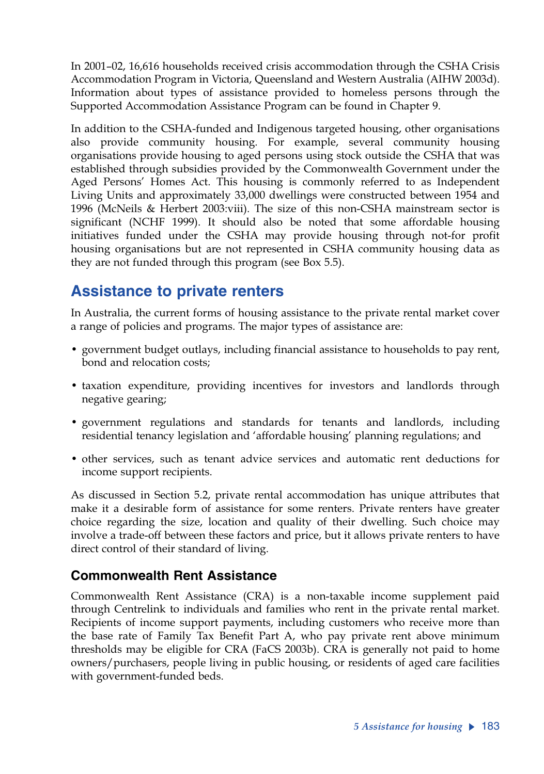In 2001–02, 16,616 households received crisis accommodation through the CSHA Crisis Accommodation Program in Victoria, Queensland and Western Australia (AIHW 2003d). Information about types of assistance provided to homeless persons through the Supported Accommodation Assistance Program can be found in Chapter 9.

In addition to the CSHA-funded and Indigenous targeted housing, other organisations also provide community housing. For example, several community housing organisations provide housing to aged persons using stock outside the CSHA that was established through subsidies provided by the Commonwealth Government under the Aged Persons' Homes Act. This housing is commonly referred to as Independent Living Units and approximately 33,000 dwellings were constructed between 1954 and 1996 (McNeils & Herbert 2003:viii). The size of this non-CSHA mainstream sector is significant (NCHF 1999). It should also be noted that some affordable housing initiatives funded under the CSHA may provide housing through not-for profit housing organisations but are not represented in CSHA community housing data as they are not funded through this program (see Box 5.5).

# **Assistance to private renters**

In Australia, the current forms of housing assistance to the private rental market cover a range of policies and programs. The major types of assistance are:

- government budget outlays, including financial assistance to households to pay rent, bond and relocation costs;
- taxation expenditure, providing incentives for investors and landlords through negative gearing;
- government regulations and standards for tenants and landlords, including residential tenancy legislation and 'affordable housing' planning regulations; and
- other services, such as tenant advice services and automatic rent deductions for income support recipients.

As discussed in Section 5.2, private rental accommodation has unique attributes that make it a desirable form of assistance for some renters. Private renters have greater choice regarding the size, location and quality of their dwelling. Such choice may involve a trade-off between these factors and price, but it allows private renters to have direct control of their standard of living.

## **Commonwealth Rent Assistance**

Commonwealth Rent Assistance (CRA) is a non-taxable income supplement paid through Centrelink to individuals and families who rent in the private rental market. Recipients of income support payments, including customers who receive more than the base rate of Family Tax Benefit Part A, who pay private rent above minimum thresholds may be eligible for CRA (FaCS 2003b). CRA is generally not paid to home owners/purchasers, people living in public housing, or residents of aged care facilities with government-funded beds.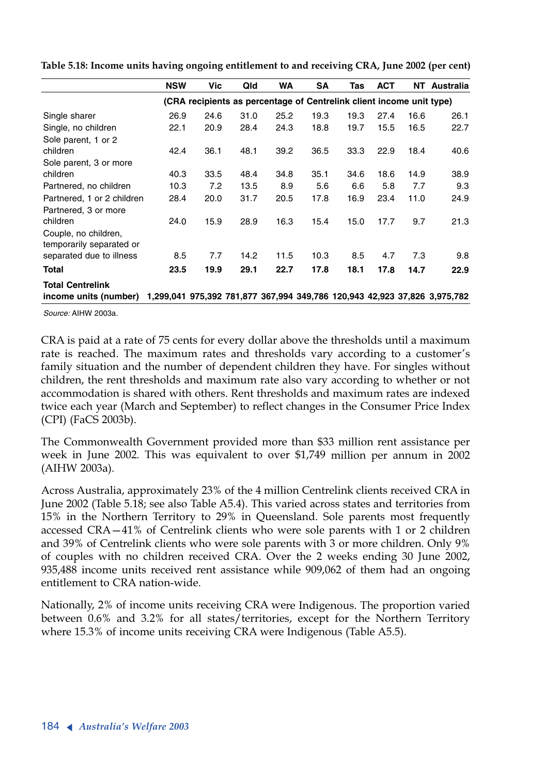|                            | <b>NSW</b> | Vic  | Qld  | WA   | <b>SA</b>                                                            | Tas  | <b>ACT</b> | NT   | Australia                                                                 |
|----------------------------|------------|------|------|------|----------------------------------------------------------------------|------|------------|------|---------------------------------------------------------------------------|
|                            |            |      |      |      | (CRA recipients as percentage of Centrelink client income unit type) |      |            |      |                                                                           |
| Single sharer              | 26.9       | 24.6 | 31.0 | 25.2 | 19.3                                                                 | 19.3 | 27.4       | 16.6 | 26.1                                                                      |
| Single, no children        | 22.1       | 20.9 | 28.4 | 24.3 | 18.8                                                                 | 19.7 | 15.5       | 16.5 | 22.7                                                                      |
| Sole parent, 1 or 2        |            |      |      |      |                                                                      |      |            |      |                                                                           |
| children                   | 42.4       | 36.1 | 48.1 | 39.2 | 36.5                                                                 | 33.3 | 22.9       | 18.4 | 40.6                                                                      |
| Sole parent, 3 or more     |            |      |      |      |                                                                      |      |            |      |                                                                           |
| children                   | 40.3       | 33.5 | 48.4 | 34.8 | 35.1                                                                 | 34.6 | 18.6       | 14.9 | 38.9                                                                      |
| Partnered, no children     | 10.3       | 7.2  | 13.5 | 8.9  | 5.6                                                                  | 6.6  | 5.8        | 7.7  | 9.3                                                                       |
| Partnered, 1 or 2 children | 28.4       | 20.0 | 31.7 | 20.5 | 17.8                                                                 | 16.9 | 23.4       | 11.0 | 24.9                                                                      |
| Partnered, 3 or more       |            |      |      |      |                                                                      |      |            |      |                                                                           |
| children                   | 24.0       | 15.9 | 28.9 | 16.3 | 15.4                                                                 | 15.0 | 17.7       | 9.7  | 21.3                                                                      |
| Couple, no children,       |            |      |      |      |                                                                      |      |            |      |                                                                           |
| temporarily separated or   |            |      |      |      |                                                                      |      |            |      |                                                                           |
| separated due to illness   | 8.5        | 7.7  | 14.2 | 11.5 | 10.3                                                                 | 8.5  | 4.7        | 7.3  | 9.8                                                                       |
| Total                      | 23.5       | 19.9 | 29.1 | 22.7 | 17.8                                                                 | 18.1 | 17.8       | 14.7 | 22.9                                                                      |
| <b>Total Centrelink</b>    |            |      |      |      |                                                                      |      |            |      |                                                                           |
| income units (number)      |            |      |      |      |                                                                      |      |            |      | 1,299,041 975,392 781,877 367,994 349,786 120,943 42,923 37,826 3,975,782 |

**Table 5.18: Income units having ongoing entitlement to and receiving CRA, June 2002 (per cent)**

*Source:* AIHW 2003a.

CRA is paid at a rate of 75 cents for every dollar above the thresholds until a maximum rate is reached. The maximum rates and thresholds vary according to a customer's family situation and the number of dependent children they have. For singles without children, the rent thresholds and maximum rate also vary according to whether or not accommodation is shared with others. Rent thresholds and maximum rates are indexed twice each year (March and September) to reflect changes in the Consumer Price Index (CPI) (FaCS 2003b).

The Commonwealth Government provided more than \$33 million rent assistance per week in June 2002. This was equivalent to over \$1,749 million per annum in 2002 (AIHW 2003a).

Across Australia, approximately 23% of the 4 million Centrelink clients received CRA in June 2002 (Table 5.18; see also Table A5.4). This varied across states and territories from 15% in the Northern Territory to 29% in Queensland. Sole parents most frequently accessed CRA—41% of Centrelink clients who were sole parents with 1 or 2 children and 39% of Centrelink clients who were sole parents with 3 or more children. Only 9% of couples with no children received CRA. Over the 2 weeks ending 30 June 2002, 935,488 income units received rent assistance while 909,062 of them had an ongoing entitlement to CRA nation-wide.

Nationally, 2% of income units receiving CRA were Indigenous. The proportion varied between 0.6% and 3.2% for all states/territories, except for the Northern Territory where 15.3% of income units receiving CRA were Indigenous (Table A5.5).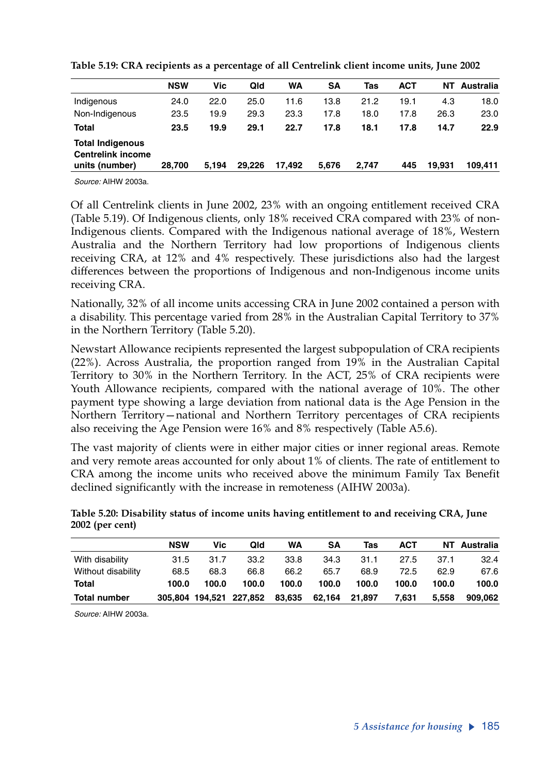|                                                                       | <b>NSW</b> | Vic   | Qld    | <b>WA</b> | SΑ    | Tas   | <b>ACT</b> | NΤ     | Australia |
|-----------------------------------------------------------------------|------------|-------|--------|-----------|-------|-------|------------|--------|-----------|
| Indigenous                                                            | 24.0       | 22.0  | 25.0   | 11.6      | 13.8  | 21.2  | 19.1       | 4.3    | 18.0      |
| Non-Indigenous                                                        | 23.5       | 19.9  | 29.3   | 23.3      | 17.8  | 18.0  | 17.8       | 26.3   | 23.0      |
| <b>Total</b>                                                          | 23.5       | 19.9  | 29.1   | 22.7      | 17.8  | 18.1  | 17.8       | 14.7   | 22.9      |
| <b>Total Indigenous</b><br><b>Centrelink income</b><br>units (number) | 28.700     | 5.194 | 29.226 | 17.492    | 5.676 | 2.747 | 445        | 19.931 | 109.411   |

**Table 5.19: CRA recipients as a percentage of all Centrelink client income units, June 2002**

*Source:* AIHW 2003a.

Of all Centrelink clients in June 2002, 23% with an ongoing entitlement received CRA (Table 5.19). Of Indigenous clients, only 18% received CRA compared with 23% of non-Indigenous clients. Compared with the Indigenous national average of 18%, Western Australia and the Northern Territory had low proportions of Indigenous clients receiving CRA, at 12% and 4% respectively. These jurisdictions also had the largest differences between the proportions of Indigenous and non-Indigenous income units receiving CRA.

Nationally, 32% of all income units accessing CRA in June 2002 contained a person with a disability. This percentage varied from 28% in the Australian Capital Territory to 37% in the Northern Territory (Table 5.20).

Newstart Allowance recipients represented the largest subpopulation of CRA recipients (22%). Across Australia, the proportion ranged from 19% in the Australian Capital Territory to 30% in the Northern Territory. In the ACT, 25% of CRA recipients were Youth Allowance recipients, compared with the national average of 10%. The other payment type showing a large deviation from national data is the Age Pension in the Northern Territory—national and Northern Territory percentages of CRA recipients also receiving the Age Pension were 16% and 8% respectively (Table A5.6).

The vast majority of clients were in either major cities or inner regional areas. Remote and very remote areas accounted for only about 1% of clients. The rate of entitlement to CRA among the income units who received above the minimum Family Tax Benefit declined significantly with the increase in remoteness (AIHW 2003a).

|                     | <b>NSW</b> | Vic   | Qld                     | WA     | SΑ     | Tas    | ACT   |       | NT Australia |
|---------------------|------------|-------|-------------------------|--------|--------|--------|-------|-------|--------------|
| With disability     | 31.5       | 31.7  | 33.2                    | 33.8   | 34.3   | 31.1   | 27.5  | 37.1  | 32.4         |
| Without disability  | 68.5       | 68.3  | 66.8                    | 66.2   | 65.7   | 68.9   | 72.5  | 62.9  | 67.6         |
| Total               | 100.0      | 100.0 | 100.0                   | 100.0  | 100.0  | 100.0  | 100.0 | 100.0 | 100.0        |
| <b>Total number</b> |            |       | 305,804 194,521 227,852 | 83,635 | 62,164 | 21,897 | 7,631 | 5.558 | 909.062      |

**Table 5.20: Disability status of income units having entitlement to and receiving CRA, June 2002 (per cent)**

*Source:* AIHW 2003a.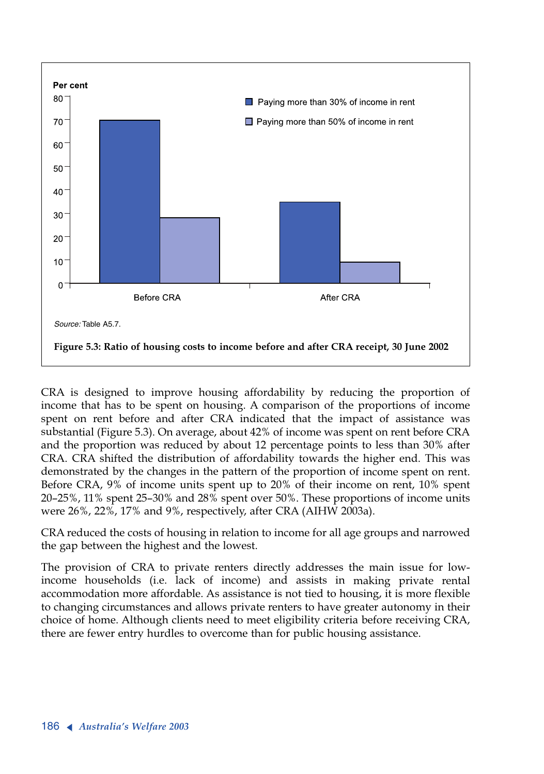

CRA is designed to improve housing affordability by reducing the proportion of income that has to be spent on housing. A comparison of the proportions of income spent on rent before and after CRA indicated that the impact of assistance was substantial (Figure 5.3). On average, about 42% of income was spent on rent before CRA and the proportion was reduced by about 12 percentage points to less than 30% after CRA. CRA shifted the distribution of affordability towards the higher end. This was demonstrated by the changes in the pattern of the proportion of income spent on rent. Before CRA, 9% of income units spent up to 20% of their income on rent, 10% spent 20–25%, 11% spent 25–30% and 28% spent over 50%. These proportions of income units were 26%, 22%, 17% and 9%, respectively, after CRA (AIHW 2003a).

CRA reduced the costs of housing in relation to income for all age groups and narrowed the gap between the highest and the lowest.

The provision of CRA to private renters directly addresses the main issue for lowincome households (i.e. lack of income) and assists in making private rental accommodation more affordable. As assistance is not tied to housing, it is more flexible to changing circumstances and allows private renters to have greater autonomy in their choice of home. Although clients need to meet eligibility criteria before receiving CRA, there are fewer entry hurdles to overcome than for public housing assistance.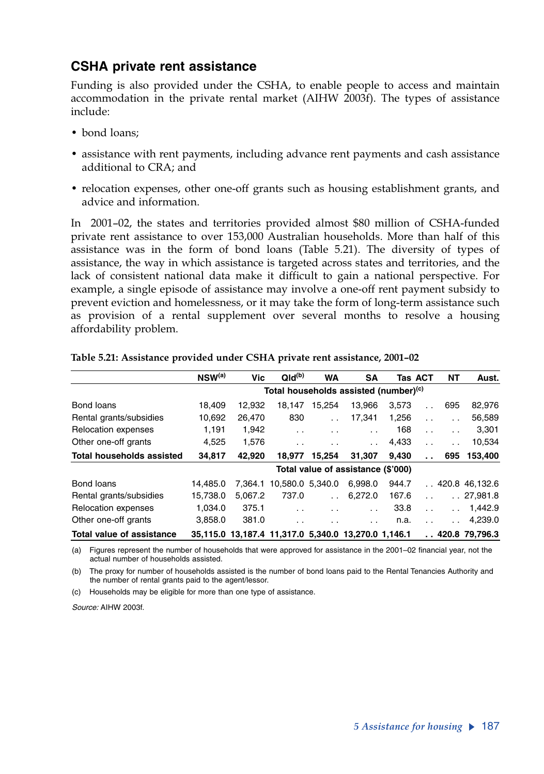### **CSHA private rent assistance**

Funding is also provided under the CSHA, to enable people to access and maintain accommodation in the private rental market (AIHW 2003f). The types of assistance include:

- bond loans;
- assistance with rent payments, including advance rent payments and cash assistance additional to CRA; and
- relocation expenses, other one-off grants such as housing establishment grants, and advice and information.

In 2001–02, the states and territories provided almost \$80 million of CSHA-funded private rent assistance to over 153,000 Australian households. More than half of this assistance was in the form of bond loans (Table 5.21). The diversity of types of assistance, the way in which assistance is targeted across states and territories, and the lack of consistent national data make it difficult to gain a national perspective. For example, a single episode of assistance may involve a one-off rent payment subsidy to prevent eviction and homelessness, or it may take the form of long-term assistance such as provision of a rental supplement over several months to resolve a housing affordability problem.

|                                  | $NSW^{(a)}$ | <b>Vic</b> | $Qld^{(b)}$                                         | <b>WA</b>            | <b>SA</b>                          |       | <b>Tas ACT</b>       | NΤ            | Aust.            |
|----------------------------------|-------------|------------|-----------------------------------------------------|----------------------|------------------------------------|-------|----------------------|---------------|------------------|
|                                  |             |            | Total households assisted (number) <sup>(c)</sup>   |                      |                                    |       |                      |               |                  |
| Bond loans                       | 18.409      | 12.932     | 18.147                                              | 15.254               | 13.966                             | 3.573 | $\ddot{\phantom{0}}$ | 695           | 82,976           |
| Rental grants/subsidies          | 10,692      | 26.470     | 830                                                 |                      | 17,341                             | 1,256 | $\ddot{\phantom{0}}$ |               | 56,589           |
| <b>Relocation expenses</b>       | 1,191       | 1,942      | $\ddot{\phantom{0}}$                                | $\cdot$ $\cdot$      | $\ddotsc$                          | 168   | $\ddot{\phantom{0}}$ | $\ddotsc$     | 3,301            |
| Other one-off grants             | 4.525       | 1.576      | $\cdot$ .                                           | $\ddotsc$            | $\ddot{\phantom{0}}$               | 4,433 | $\ddot{\phantom{0}}$ | $\cdot$ .     | 10,534           |
| <b>Total households assisted</b> | 34.817      | 42.920     | 18.977                                              | 15.254               | 31.307                             | 9.430 | $\ddot{\phantom{a}}$ | 695           | 153,400          |
|                                  |             |            |                                                     |                      | Total value of assistance (\$'000) |       |                      |               |                  |
| Bond loans                       | 14.485.0    | 7.364.1    | 10.580.0 5.340.0                                    |                      | 6.998.0                            | 944.7 |                      |               | . 420.846.132.6  |
| Rental grants/subsidies          | 15.738.0    | 5.067.2    | 737.0                                               |                      | 6,272.0                            | 167.6 |                      |               | .27,981.8        |
| <b>Relocation expenses</b>       | 1.034.0     | 375.1      | $\cdot$ $\cdot$                                     | $\ddotsc$            | $\ddot{\phantom{0}}$               | 33.8  | $\ddot{\phantom{0}}$ |               | 1.442.9          |
| Other one-off grants             | 3,858.0     | 381.0      | $\cdot$ $\cdot$                                     | $\ddot{\phantom{0}}$ | $\cdot$ .                          | n.a.  | $\ddot{\phantom{0}}$ | $\sim$ $\sim$ | 4,239.0          |
| <b>Total value of assistance</b> |             |            | 35.115.0 13.187.4 11.317.0 5.340.0 13.270.0 1.146.1 |                      |                                    |       |                      |               | . .420.879.796.3 |

#### **Table 5.21: Assistance provided under CSHA private rent assistance, 2001–02**

(a) Figures represent the number of households that were approved for assistance in the 2001–02 financial year, not the actual number of households assisted.

(b) The proxy for number of households assisted is the number of bond loans paid to the Rental Tenancies Authority and the number of rental grants paid to the agent/lessor.

(c) Households may be eligible for more than one type of assistance.

*Source:* AIHW 2003f.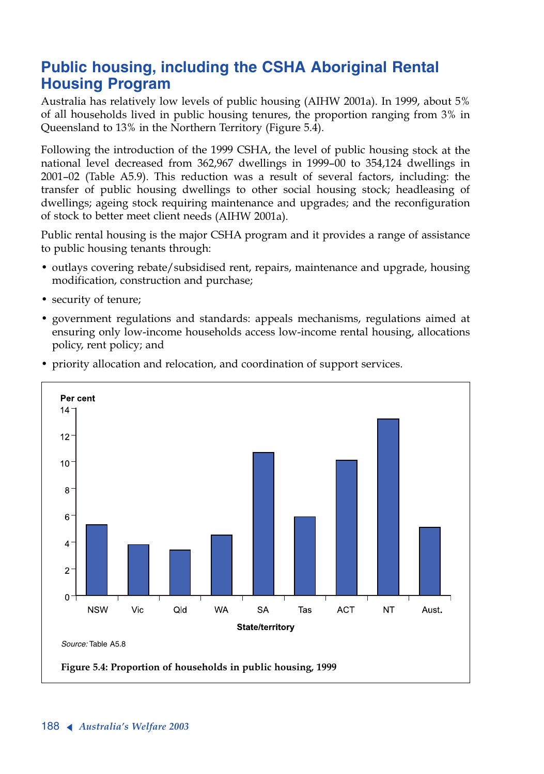# **Public housing, including the CSHA Aboriginal Rental Housing Program**

Australia has relatively low levels of public housing (AIHW 2001a). In 1999, about 5% of all households lived in public housing tenures, the proportion ranging from 3% in Queensland to 13% in the Northern Territory (Figure 5.4).

Following the introduction of the 1999 CSHA, the level of public housing stock at the national level decreased from 362,967 dwellings in 1999–00 to 354,124 dwellings in 2001–02 (Table A5.9). This reduction was a result of several factors, including: the transfer of public housing dwellings to other social housing stock; headleasing of dwellings; ageing stock requiring maintenance and upgrades; and the reconfiguration of stock to better meet client needs (AIHW 2001a).

Public rental housing is the major CSHA program and it provides a range of assistance to public housing tenants through:

- outlays covering rebate/subsidised rent, repairs, maintenance and upgrade, housing modification, construction and purchase;
- security of tenure;
- • government regulations and standards: appeals mechanisms, regulations aimed at ensuring only low-income households access low-income rental housing, allocations policy, rent policy; and



• priority allocation and relocation, and coordination of support services.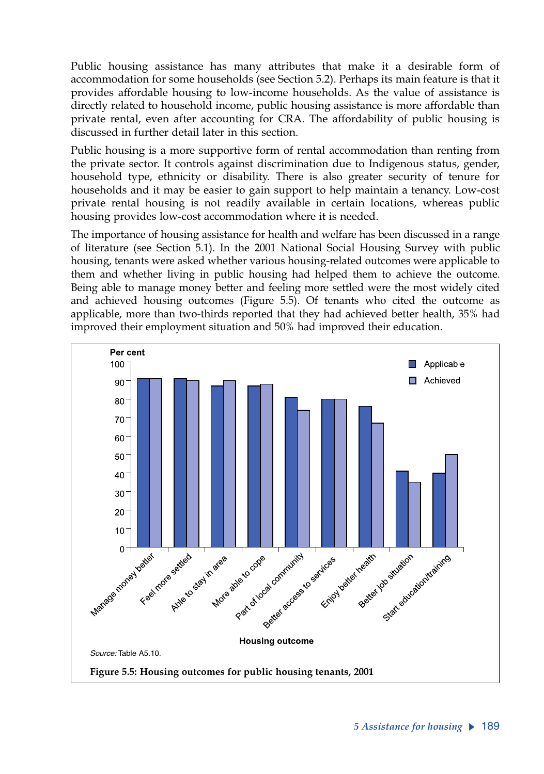Public housing assistance has many attributes that make it a desirable form of accommodation for some households (see Section 5.2). Perhaps its main feature is that it provides affordable housing to low-income households. As the value of assistance is directly related to household income, public housing assistance is more affordable than private rental, even after accounting for CRA. The affordability of public housing is discussed in further detail later in this section.

Public housing is a more supportive form of rental accommodation than renting from the private sector. It controls against discrimination due to Indigenous status, gender, household type, ethnicity or disability. There is also greater security of tenure for households and it may be easier to gain support to help maintain a tenancy. Low-cost private rental housing is not readily available in certain locations, whereas public housing provides low-cost accommodation where it is needed.

The importance of housing assistance for health and welfare has been discussed in a range of literature (see Section 5.1). In the 2001 National Social Housing Survey with public housing, tenants were asked whether various housing-related outcomes were applicable to them and whether living in public housing had helped them to achieve the outcome. Being able to manage money better and feeling more settled were the most widely cited and achieved housing outcomes (Figure 5.5). Of tenants who cited the outcome as applicable, more than two-thirds reported that they had achieved better health, 35% had improved their employment situation and 50% had improved their education.

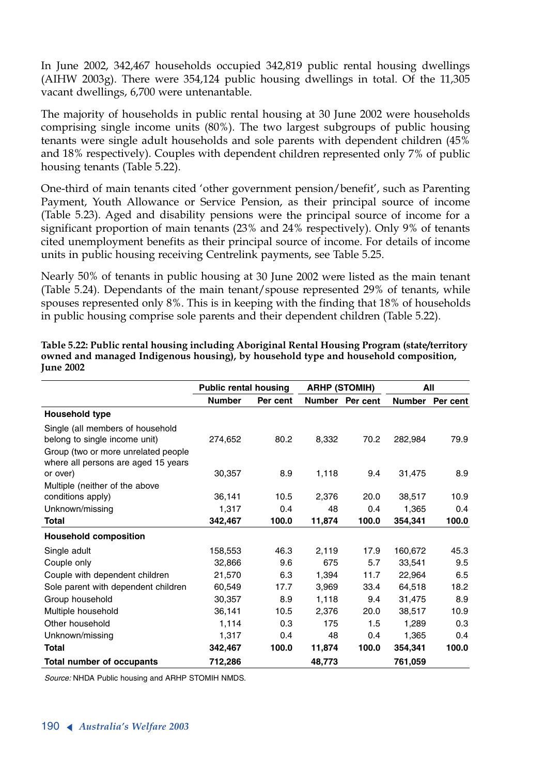In June 2002, 342,467 households occupied 342,819 public rental housing dwellings (AIHW 2003g). There were 354,124 public housing dwellings in total. Of the 11,305 vacant dwellings, 6,700 were untenantable.

The majority of households in public rental housing at 30 June 2002 were households comprising single income units (80%). The two largest subgroups of public housing tenants were single adult households and sole parents with dependent children (45% and 18% respectively). Couples with dependent children represented only 7% of public housing tenants (Table 5.22).

One-third of main tenants cited 'other government pension/benefit', such as Parenting Payment, Youth Allowance or Service Pension, as their principal source of income (Table 5.23). Aged and disability pensions were the principal source of income for a significant proportion of main tenants (23% and 24% respectively). Only 9% of tenants cited unemployment benefits as their principal source of income. For details of income units in public housing receiving Centrelink payments, see Table 5.25.

Nearly 50% of tenants in public housing at 30 June 2002 were listed as the main tenant (Table 5.24). Dependants of the main tenant/spouse represented 29% of tenants, while spouses represented only 8%. This is in keeping with the finding that 18% of households in public housing comprise sole parents and their dependent children (Table 5.22).

|                                     | <b>Public rental housing</b> |          | <b>ARHP (STOMIH)</b> |                 | All     |          |  |
|-------------------------------------|------------------------------|----------|----------------------|-----------------|---------|----------|--|
|                                     | <b>Number</b>                | Per cent |                      | Number Per cent | Number  | Per cent |  |
| Household type                      |                              |          |                      |                 |         |          |  |
| Single (all members of household    |                              |          |                      |                 |         |          |  |
| belong to single income unit)       | 274,652                      | 80.2     | 8,332                | 70.2            | 282,984 | 79.9     |  |
| Group (two or more unrelated people |                              |          |                      |                 |         |          |  |
| where all persons are aged 15 years |                              |          |                      |                 |         |          |  |
| or over)                            | 30,357                       | 8.9      | 1,118                | 9.4             | 31,475  | 8.9      |  |
| Multiple (neither of the above      |                              |          |                      |                 |         |          |  |
| conditions apply)                   | 36,141                       | 10.5     | 2,376                | 20.0            | 38,517  | 10.9     |  |
| Unknown/missing                     | 1,317                        | 0.4      | 48                   | 0.4             | 1,365   | 0.4      |  |
| <b>Total</b>                        | 342,467                      | 100.0    | 11,874               | 100.0           | 354,341 | 100.0    |  |
| <b>Household composition</b>        |                              |          |                      |                 |         |          |  |
| Single adult                        | 158,553                      | 46.3     | 2,119                | 17.9            | 160,672 | 45.3     |  |
| Couple only                         | 32,866                       | 9.6      | 675                  | 5.7             | 33,541  | 9.5      |  |
| Couple with dependent children      | 21,570                       | 6.3      | 1,394                | 11.7            | 22,964  | 6.5      |  |
| Sole parent with dependent children | 60,549                       | 17.7     | 3,969                | 33.4            | 64,518  | 18.2     |  |
| Group household                     | 30,357                       | 8.9      | 1,118                | 9.4             | 31,475  | 8.9      |  |
| Multiple household                  | 36,141                       | 10.5     | 2,376                | 20.0            | 38,517  | 10.9     |  |
| Other household                     | 1,114                        | 0.3      | 175                  | 1.5             | 1,289   | 0.3      |  |
| Unknown/missing                     | 1,317                        | 0.4      | 48                   | 0.4             | 1,365   | 0.4      |  |
| <b>Total</b>                        | 342,467                      | 100.0    | 11,874               | 100.0           | 354,341 | 100.0    |  |
| Total number of occupants           | 712,286                      |          | 48,773               |                 | 761,059 |          |  |

**Table 5.22: Public rental housing including Aboriginal Rental Housing Program (state/territory owned and managed Indigenous housing), by household type and household composition, June 2002**

*Source:* NHDA Public housing and ARHP STOMIH NMDS.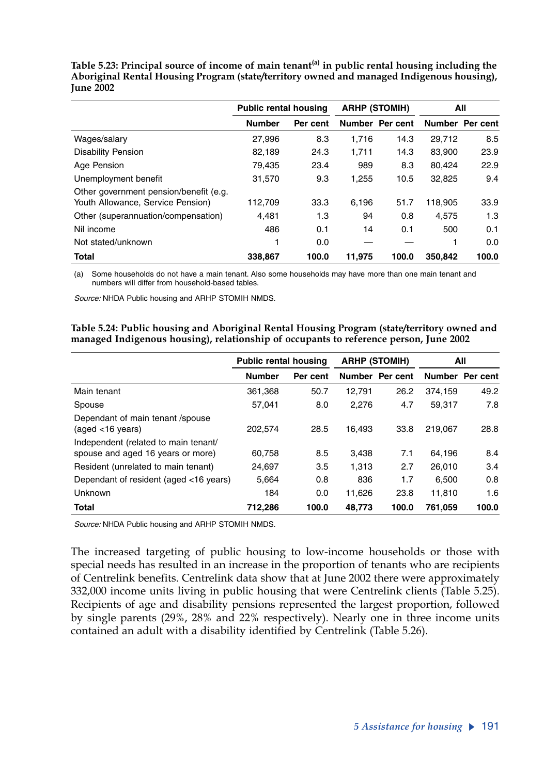|                                        | <b>Public rental housing</b> |          |        | <b>ARHP (STOMIH)</b> | All     |                 |  |
|----------------------------------------|------------------------------|----------|--------|----------------------|---------|-----------------|--|
|                                        | <b>Number</b>                | Per cent |        | Number Per cent      |         | Number Per cent |  |
| Wages/salary                           | 27,996                       | 8.3      | 1.716  | 14.3                 | 29,712  | 8.5             |  |
| <b>Disability Pension</b>              | 82,189                       | 24.3     | 1,711  | 14.3                 | 83,900  | 23.9            |  |
| Age Pension                            | 79.435                       | 23.4     | 989    | 8.3                  | 80.424  | 22.9            |  |
| Unemployment benefit                   | 31,570                       | 9.3      | 1,255  | 10.5                 | 32,825  | 9.4             |  |
| Other government pension/benefit (e.g. |                              |          |        |                      |         |                 |  |
| Youth Allowance, Service Pension)      | 112,709                      | 33.3     | 6.196  | 51.7                 | 118.905 | 33.9            |  |
| Other (superannuation/compensation)    | 4.481                        | 1.3      | 94     | 0.8                  | 4.575   | 1.3             |  |
| Nil income                             | 486                          | 0.1      | 14     | 0.1                  | 500     | 0.1             |  |
| Not stated/unknown                     |                              | 0.0      |        |                      |         | 0.0             |  |
| <b>Total</b>                           | 338,867                      | 100.0    | 11.975 | 100.0                | 350.842 | 100.0           |  |

**Table 5.23: Principal source of income of main tenant(a) in public rental housing including the Aboriginal Rental Housing Program (state/territory owned and managed Indigenous housing), June 2002**

(a) Some households do not have a main tenant. Also some households may have more than one main tenant and numbers will differ from household-based tables.

*Source:* NHDA Public housing and ARHP STOMIH NMDS.

**Table 5.24: Public housing and Aboriginal Rental Housing Program (state/territory owned and managed Indigenous housing), relationship of occupants to reference person, June 2002**

|                                                                           | <b>Public rental housing</b> |          | <b>ARHP (STOMIH)</b> |                 | All     |                 |
|---------------------------------------------------------------------------|------------------------------|----------|----------------------|-----------------|---------|-----------------|
|                                                                           | <b>Number</b>                | Per cent |                      | Number Per cent |         | Number Per cent |
| Main tenant                                                               | 361,368                      | 50.7     | 12,791               | 26.2            | 374.159 | 49.2            |
| Spouse                                                                    | 57.041                       | 8.0      | 2,276                | 4.7             | 59.317  | 7.8             |
| Dependant of main tenant /spouse<br>$(aged < 16 \text{ years})$           | 202,574                      | 28.5     | 16.493               | 33.8            | 219.067 | 28.8            |
| Independent (related to main tenant/<br>spouse and aged 16 years or more) | 60,758                       | 8.5      | 3.438                | 7.1             | 64.196  | 8.4             |
| Resident (unrelated to main tenant)                                       | 24,697                       | 3.5      | 1.313                | 2.7             | 26.010  | 3.4             |
| Dependant of resident (aged <16 years)                                    | 5.664                        | 0.8      | 836                  | 1.7             | 6.500   | 0.8             |
| Unknown                                                                   | 184                          | 0.0      | 11,626               | 23.8            | 11.810  | 1.6             |
| <b>Total</b>                                                              | 712.286                      | 100.0    | 48.773               | 100.0           | 761.059 | 100.0           |

*Source:* NHDA Public housing and ARHP STOMIH NMDS.

The increased targeting of public housing to low-income households or those with special needs has resulted in an increase in the proportion of tenants who are recipients of Centrelink benefits. Centrelink data show that at June 2002 there were approximately 332,000 income units living in public housing that were Centrelink clients (Table 5.25). Recipients of age and disability pensions represented the largest proportion, followed by single parents (29%, 28% and 22% respectively). Nearly one in three income units contained an adult with a disability identified by Centrelink (Table 5.26).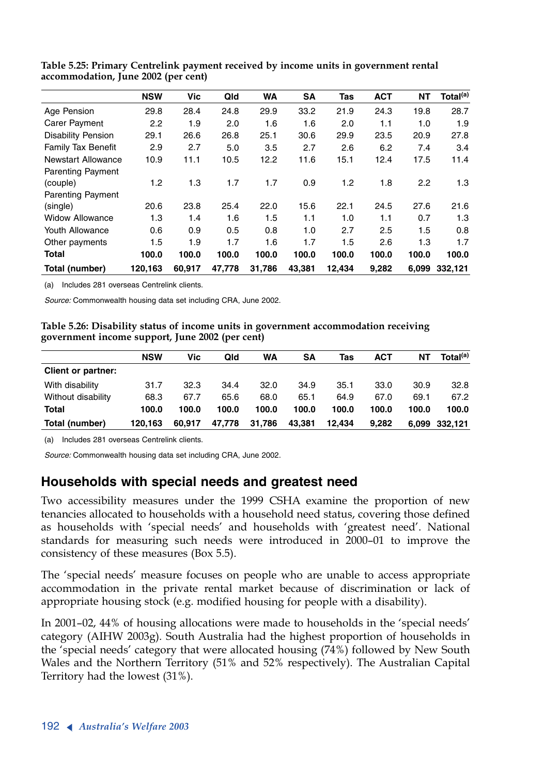|                                      | <b>NSW</b> | Vic    | Qld    | WA     | <b>SA</b> | Tas    | <b>ACT</b> | NΤ    | Total <sup>(a)</sup> |
|--------------------------------------|------------|--------|--------|--------|-----------|--------|------------|-------|----------------------|
| Age Pension                          | 29.8       | 28.4   | 24.8   | 29.9   | 33.2      | 21.9   | 24.3       | 19.8  | 28.7                 |
| Carer Payment                        | 2.2        | 1.9    | 2.0    | 1.6    | 1.6       | 2.0    | 1.1        | 1.0   | 1.9                  |
| <b>Disability Pension</b>            | 29.1       | 26.6   | 26.8   | 25.1   | 30.6      | 29.9   | 23.5       | 20.9  | 27.8                 |
| <b>Family Tax Benefit</b>            | 2.9        | 2.7    | 5.0    | 3.5    | 2.7       | 2.6    | 6.2        | 7.4   | 3.4                  |
| <b>Newstart Allowance</b>            | 10.9       | 11.1   | 10.5   | 12.2   | 11.6      | 15.1   | 12.4       | 17.5  | 11.4                 |
| <b>Parenting Payment</b><br>(couple) | 1.2        | 1.3    | 1.7    | 1.7    | 0.9       | 1.2    | 1.8        | 2.2   | 1.3                  |
| <b>Parenting Payment</b>             |            |        |        |        |           |        |            |       |                      |
| (single)                             | 20.6       | 23.8   | 25.4   | 22.0   | 15.6      | 22.1   | 24.5       | 27.6  | 21.6                 |
| <b>Widow Allowance</b>               | 1.3        | 1.4    | 1.6    | 1.5    | 1.1       | 1.0    | 1.1        | 0.7   | 1.3                  |
| Youth Allowance                      | 0.6        | 0.9    | 0.5    | 0.8    | 1.0       | 2.7    | 2.5        | 1.5   | 0.8                  |
| Other payments                       | 1.5        | 1.9    | 1.7    | 1.6    | 1.7       | 1.5    | 2.6        | 1.3   | 1.7                  |
| <b>Total</b>                         | 100.0      | 100.0  | 100.0  | 100.0  | 100.0     | 100.0  | 100.0      | 100.0 | 100.0                |
| Total (number)                       | 120.163    | 60.917 | 47.778 | 31.786 | 43.381    | 12.434 | 9,282      | 6.099 | 332.121              |

**Table 5.25: Primary Centrelink payment received by income units in government rental accommodation, June 2002 (per cent)**

(a) Includes 281 overseas Centrelink clients.

*Source:* Commonwealth housing data set including CRA, June 2002.

**Table 5.26: Disability status of income units in government accommodation receiving government income support, June 2002 (per cent)**

|                           | <b>NSW</b> | Vic    | Qld    | <b>WA</b> | SΑ     | Tas    | <b>ACT</b> | NΤ    | Total <sup>(a)</sup> |
|---------------------------|------------|--------|--------|-----------|--------|--------|------------|-------|----------------------|
| <b>Client or partner:</b> |            |        |        |           |        |        |            |       |                      |
| With disability           | 31.7       | 32.3   | 34.4   | 32.0      | 34.9   | 35.1   | 33.0       | 30.9  | 32.8                 |
| Without disability        | 68.3       | 67.7   | 65.6   | 68.0      | 65.1   | 64.9   | 67.0       | 69.1  | 67.2                 |
| Total                     | 100.0      | 100.0  | 100.0  | 100.0     | 100.0  | 100.0  | 100.0      | 100.0 | 100.0                |
| Total (number)            | 120.163    | 60.917 | 47.778 | 31,786    | 43.381 | 12.434 | 9.282      |       | 6,099 332,121        |

(a) Includes 281 overseas Centrelink clients.

*Source:* Commonwealth housing data set including CRA, June 2002.

### **Households with special needs and greatest need**

Two accessibility measures under the 1999 CSHA examine the proportion of new tenancies allocated to households with a household need status, covering those defined as households with 'special needs' and households with 'greatest need'. National standards for measuring such needs were introduced in 2000–01 to improve the consistency of these measures (Box 5.5).

The 'special needs' measure focuses on people who are unable to access appropriate accommodation in the private rental market because of discrimination or lack of appropriate housing stock (e.g. modified housing for people with a disability).

In 2001–02, 44% of housing allocations were made to households in the 'special needs' category (AIHW 2003g). South Australia had the highest proportion of households in the 'special needs' category that were allocated housing (74%) followed by New South Wales and the Northern Territory (51% and 52% respectively). The Australian Capital Territory had the lowest (31%).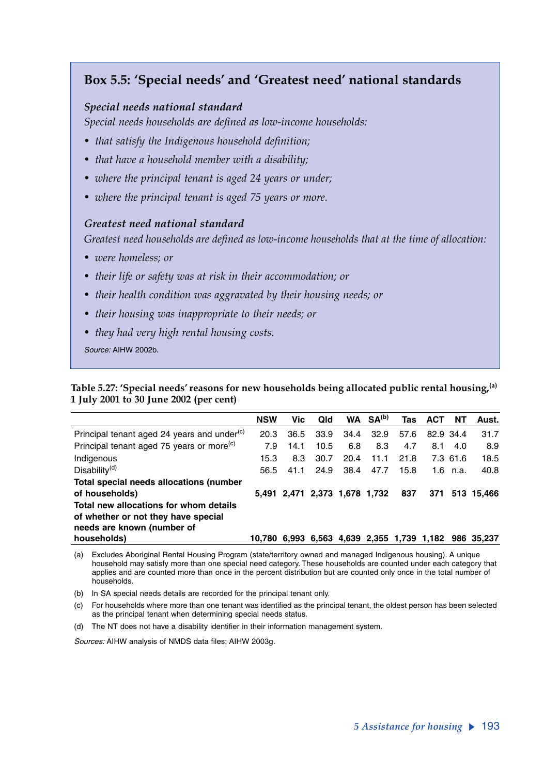## **Box 5.5: 'Special needs' and 'Greatest need' national standards**

#### *Special needs national standard*

*Special needs households are defined as low-income households:*

- *that satisfy the Indigenous household definition;*
- *that have a household member with a disability;*
- *where the principal tenant is aged 24 years or under;*
- *where the principal tenant is aged 75 years or more.*

#### *Greatest need national standard*

*Greatest need households are defined as low-income households that at the time of allocation:*

- *were homeless; or*
- *their life or safety was at risk in their accommodation; or*
- *their health condition was aggravated by their housing needs; or*
- *their housing was inappropriate to their needs; or*
- *they had very high rental housing costs.*

*Source:* AIHW 2002b.

**Table 5.27: 'Special needs' reasons for new households being allocated public rental housing,(a) 1 July 2001 to 30 June 2002 (per cent)** 

|                                                         | <b>NSW</b> | Vic  | Qld  |                               | $WA$ $SA(b)$ | Tas  | <b>ACT</b> | NΤ         | Aust.                                                 |
|---------------------------------------------------------|------------|------|------|-------------------------------|--------------|------|------------|------------|-------------------------------------------------------|
| Principal tenant aged 24 years and under <sup>(c)</sup> | 20.3       | 36.5 | 33.9 | 34.4                          | 32.9         | 57.6 | 82.9 34.4  |            | 31.7                                                  |
| Principal tenant aged 75 years or more <sup>(c)</sup>   | 7.9        | 14.1 | 10.5 | 6.8                           | 8.3          | 4.7  | 8.1        | 4.0        | 8.9                                                   |
| Indigenous                                              | 15.3       | 8.3  | 30.7 | 20.4                          | 11.1         | 21.8 |            | 7.3 61.6   | 18.5                                                  |
| Disability <sup>(d)</sup>                               | 56.5       | 41.1 | 24.9 | 38.4                          | 47.7         | 15.8 |            | 1.6 $n.a.$ | 40.8                                                  |
| Total special needs allocations (number                 |            |      |      |                               |              |      |            |            |                                                       |
| of households)                                          |            |      |      | 5,491 2,471 2,373 1,678 1,732 |              | 837  |            |            | 371 513 15.466                                        |
| Total new allocations for whom details                  |            |      |      |                               |              |      |            |            |                                                       |
| of whether or not they have special                     |            |      |      |                               |              |      |            |            |                                                       |
| needs are known (number of                              |            |      |      |                               |              |      |            |            |                                                       |
| households)                                             |            |      |      |                               |              |      |            |            | 10,780 6,993 6,563 4,639 2,355 1,739 1,182 986 35,237 |

(a) Excludes Aboriginal Rental Housing Program (state/territory owned and managed Indigenous housing). A unique household may satisfy more than one special need category. These households are counted under each category that applies and are counted more than once in the percent distribution but are counted only once in the total number of households.

(b) In SA special needs details are recorded for the principal tenant only.

(c) For households where more than one tenant was identified as the principal tenant, the oldest person has been selected as the principal tenant when determining special needs status.

(d) The NT does not have a disability identifier in their information management system.

*Sources:* AIHW analysis of NMDS data files; AIHW 2003g.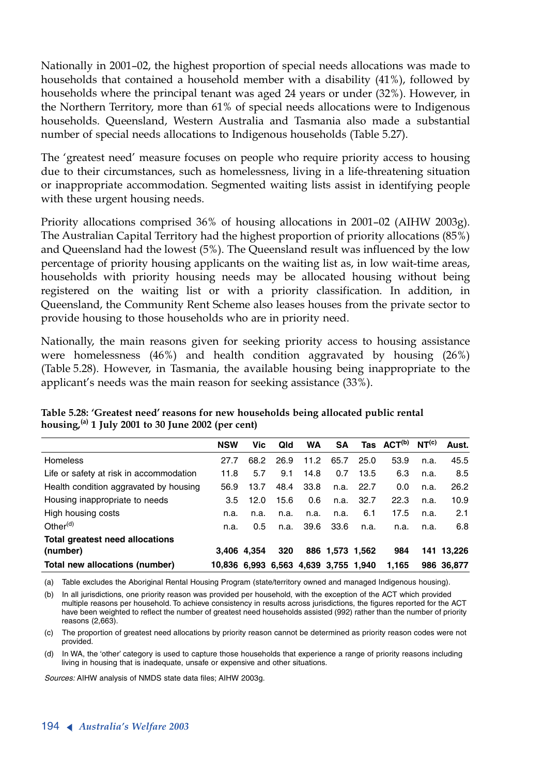Nationally in 2001–02, the highest proportion of special needs allocations was made to households that contained a household member with a disability (41%), followed by households where the principal tenant was aged 24 years or under (32%). However, in the Northern Territory, more than 61% of special needs allocations were to Indigenous households. Queensland, Western Australia and Tasmania also made a substantial number of special needs allocations to Indigenous households (Table 5.27).

The 'greatest need' measure focuses on people who require priority access to housing due to their circumstances, such as homelessness, living in a life-threatening situation or inappropriate accommodation. Segmented waiting lists assist in identifying people with these urgent housing needs.

Priority allocations comprised 36% of housing allocations in 2001–02 (AIHW 2003g). The Australian Capital Territory had the highest proportion of priority allocations (85%) and Queensland had the lowest (5%). The Queensland result was influenced by the low percentage of priority housing applicants on the waiting list as, in low wait-time areas, households with priority housing needs may be allocated housing without being registered on the waiting list or with a priority classification. In addition, in Queensland, the Community Rent Scheme also leases houses from the private sector to provide housing to those households who are in priority need.

Nationally, the main reasons given for seeking priority access to housing assistance were homelessness (46%) and health condition aggravated by housing (26%) (Table 5.28). However, in Tasmania, the available housing being inappropriate to the applicant's needs was the main reason for seeking assistance (33%).

|                                         | <b>NSW</b>                           | Vic         | Qid  | <b>WA</b> | <b>SA</b>       |       | Tas ACT <sup>(b)</sup> NT <sup>(c)</sup> |      | Aust.      |
|-----------------------------------------|--------------------------------------|-------------|------|-----------|-----------------|-------|------------------------------------------|------|------------|
| Homeless                                | 27.7                                 | 68.2        | 26.9 | 11.2      | 65.7            | 25.0  | 53.9                                     | n.a. | 45.5       |
| Life or safety at risk in accommodation | 11.8                                 | 5.7         | 9.1  | 14.8      | 0.7             | 13.5  | 6.3                                      | n.a. | 8.5        |
| Health condition aggravated by housing  | 56.9                                 | 13.7        | 48.4 | 33.8      | n.a.            | -22.7 | 0.0                                      | n.a. | 26.2       |
| Housing inappropriate to needs          | 3.5                                  | 12.0        | 15.6 | 0.6       | n.a.            | 32.7  | 22.3                                     | n.a. | 10.9       |
| High housing costs                      | n.a.                                 | n.a.        | n.a. | n.a.      | n.a.            | 6.1   | 17.5                                     | n.a. | 2.1        |
| Other $(d)$                             | n.a.                                 | 0.5         | n.a. | 39.6      | 33.6            | n.a.  | n.a.                                     | n.a. | 6.8        |
| Total greatest need allocations         |                                      |             |      |           |                 |       |                                          |      |            |
| (number)                                |                                      | 3.406 4.354 | 320  |           | 886 1,573 1,562 |       | 984                                      |      | 141 13.226 |
| Total new allocations (number)          | 10,836 6,993 6,563 4,639 3,755 1,940 |             |      |           |                 |       | 1.165                                    |      | 986 36.877 |

**Table 5.28: 'Greatest need' reasons for new households being allocated public rental housing,(a) <sup>1</sup> July 2001 to 30 June 2002 (per cent)**

(a) Table excludes the Aboriginal Rental Housing Program (state/territory owned and managed Indigenous housing).

(b) In all jurisdictions, one priority reason was provided per household, with the exception of the ACT which provided multiple reasons per household. To achieve consistency in results across jurisdictions, the figures reported for the ACT have been weighted to reflect the number of greatest need households assisted (992) rather than the number of priority reasons (2,663).

(c) The proportion of greatest need allocations by priority reason cannot be determined as priority reason codes were not provided.

(d) In WA, the 'other' category is used to capture those households that experience a range of priority reasons including living in housing that is inadequate, unsafe or expensive and other situations.

*Sources:* AIHW analysis of NMDS state data files; AIHW 2003g.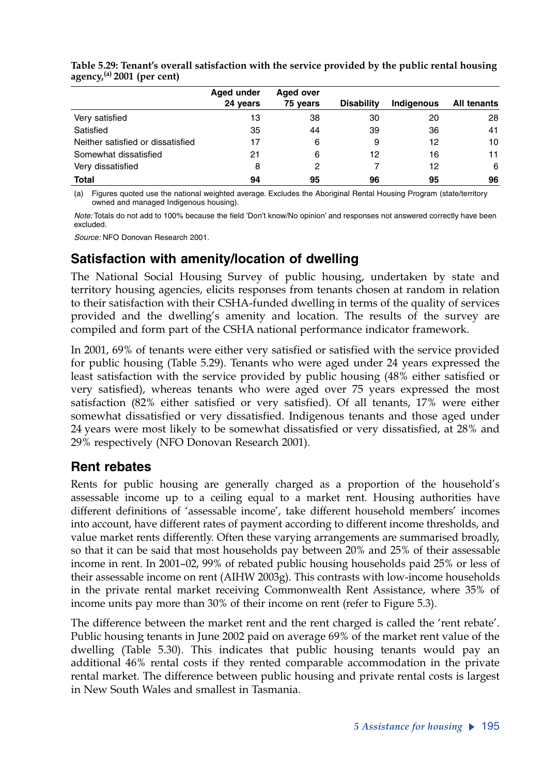|                                   | Aged under | Aged over |                   |                   |             |
|-----------------------------------|------------|-----------|-------------------|-------------------|-------------|
|                                   | 24 years   | 75 years  | <b>Disability</b> | <b>Indiaenous</b> | All tenants |
| Very satisfied                    | 13         | 38        | 30                | 20                | 28          |
| Satisfied                         | 35         | 44        | 39                | 36                | 41          |
| Neither satisfied or dissatisfied | 17         | 6         | 9                 | 12                | 10          |
| Somewhat dissatisfied             | 21         | 6         | 12                | 16                | 11          |
| Very dissatisfied                 | 8          | 2         |                   | 12                | 6           |
| <b>Total</b>                      | 94         | 95        | 96                | 95                | 96          |

**Table 5.29: Tenant's overall satisfaction with the service provided by the public rental housing agency,(a) 2001 (per cent)**

(a) Figures quoted use the national weighted average. Excludes the Aboriginal Rental Housing Program (state/territory owned and managed Indigenous housing).

*Note:* Totals do not add to 100% because the field 'Don't know/No opinion' and responses not answered correctly have been excluded.

*Source:* NFO Donovan Research 2001.

### **Satisfaction with amenity/location of dwelling**

The National Social Housing Survey of public housing, undertaken by state and territory housing agencies, elicits responses from tenants chosen at random in relation to their satisfaction with their CSHA-funded dwelling in terms of the quality of services provided and the dwelling's amenity and location. The results of the survey are compiled and form part of the CSHA national performance indicator framework.

In 2001, 69% of tenants were either very satisfied or satisfied with the service provided for public housing (Table 5.29). Tenants who were aged under 24 years expressed the least satisfaction with the service provided by public housing (48% either satisfied or very satisfied), whereas tenants who were aged over 75 years expressed the most satisfaction (82% either satisfied or very satisfied). Of all tenants, 17% were either somewhat dissatisfied or very dissatisfied. Indigenous tenants and those aged under 24 years were most likely to be somewhat dissatisfied or very dissatisfied, at 28% and 29% respectively (NFO Donovan Research 2001).

### **Rent rebates**

Rents for public housing are generally charged as a proportion of the household's assessable income up to a ceiling equal to a market rent. Housing authorities have different definitions of 'assessable income', take different household members' incomes into account, have different rates of payment according to different income thresholds, and value market rents differently. Often these varying arrangements are summarised broadly, so that it can be said that most households pay between 20% and 25% of their assessable income in rent. In 2001–02, 99% of rebated public housing households paid 25% or less of their assessable income on rent (AIHW 2003g). This contrasts with low-income households in the private rental market receiving Commonwealth Rent Assistance, where 35% of income units pay more than 30% of their income on rent (refer to Figure 5.3).

The difference between the market rent and the rent charged is called the 'rent rebate'. Public housing tenants in June 2002 paid on average 69% of the market rent value of the dwelling (Table 5.30). This indicates that public housing tenants would pay an additional 46% rental costs if they rented comparable accommodation in the private rental market. The difference between public housing and private rental costs is largest in New South Wales and smallest in Tasmania.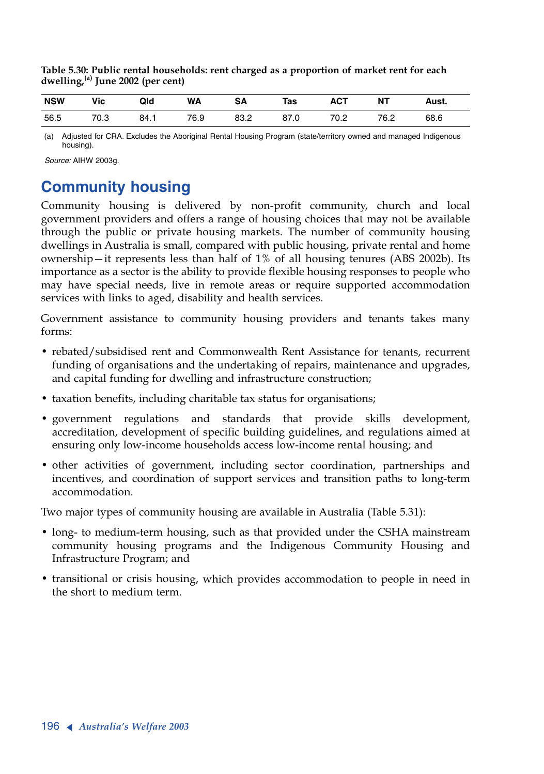**Table 5.30: Public rental households: rent charged as a proportion of market rent for each dwelling,(a) June 2002 (per cent)**

| <b>NSW</b> | Vic         | Qld  | <b>WA</b> | SΑ   | Tas  | <b>ACT</b> | NΤ   | Aust. |
|------------|-------------|------|-----------|------|------|------------|------|-------|
| 56.5       | 70.0<br>U.J | 84.1 | 76.9      | 83.2 | 87.0 | 70.2       | 76.2 | 68.6  |

(a) Adjusted for CRA. Excludes the Aboriginal Rental Housing Program (state/territory owned and managed Indigenous housing).

*Source:* AIHW 2003g.

# **Community housing**

Community housing is delivered by non-profit community, church and local government providers and offers a range of housing choices that may not be available through the public or private housing markets. The number of community housing dwellings in Australia is small, compared with public housing, private rental and home ownership—it represents less than half of 1% of all housing tenures (ABS 2002b). Its importance as a sector is the ability to provide flexible housing responses to people who may have special needs, live in remote areas or require supported accommodation services with links to aged, disability and health services.

Government assistance to community housing providers and tenants takes many forms:

- rebated/subsidised rent and Commonwealth Rent Assistance for tenants, recurrent funding of organisations and the undertaking of repairs, maintenance and upgrades, and capital funding for dwelling and infrastructure construction;
- taxation benefits, including charitable tax status for organisations;
- government regulations and standards that provide skills development, accreditation, development of specific building guidelines, and regulations aimed at ensuring only low-income households access low-income rental housing; and
- other activities of government, including sector coordination, partnerships and incentives, and coordination of support services and transition paths to long-term accommodation.

Two major types of community housing are available in Australia (Table 5.31):

- long- to medium-term housing, such as that provided under the CSHA mainstream community housing programs and the Indigenous Community Housing and Infrastructure Program; and
- transitional or crisis housing, which provides accommodation to people in need in the short to medium term.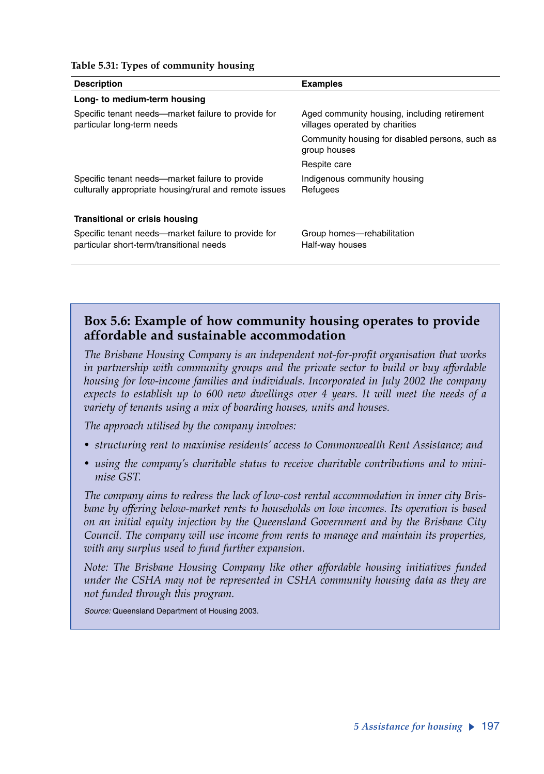| <b>Examples</b>                                                                |
|--------------------------------------------------------------------------------|
|                                                                                |
| Aged community housing, including retirement<br>villages operated by charities |
| Community housing for disabled persons, such as<br>group houses                |
| Respite care                                                                   |
| Indigenous community housing<br>Refugees                                       |
|                                                                                |
| Group homes-rehabilitation<br>Half-way houses                                  |
|                                                                                |

#### **Table 5.31: Types of community housing**

### **Box 5.6: Example of how community housing operates to provide affordable and sustainable accommodation**

*The Brisbane Housing Company is an independent not-for-profit organisation that works in partnership with community groups and the private sector to build or buy affordable housing for low-income families and individuals. Incorporated in July 2002 the company expects to establish up to 600 new dwellings over 4 years. It will meet the needs of a variety of tenants using a mix of boarding houses, units and houses.* 

*The approach utilised by the company involves:*

- *structuring rent to maximise residents' access to Commonwealth Rent Assistance; and*
- *using the company's charitable status to receive charitable contributions and to minimise GST.*

*The company aims to redress the lack of low-cost rental accommodation in inner city Brisbane by offering below-market rents to households on low incomes. Its operation is based on an initial equity injection by the Queensland Government and by the Brisbane City Council. The company will use income from rents to manage and maintain its properties, with any surplus used to fund further expansion.*

*Note: The Brisbane Housing Company like other affordable housing initiatives funded under the CSHA may not be represented in CSHA community housing data as they are not funded through this program.*

*Source:* Queensland Department of Housing 2003.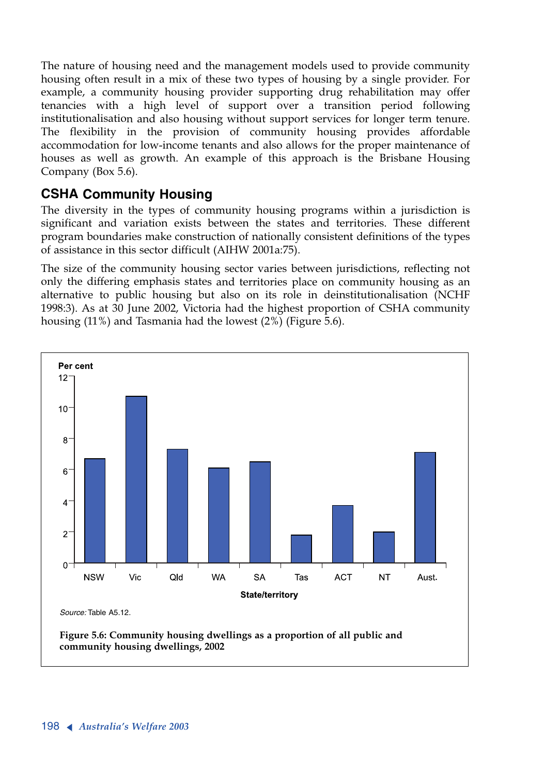The nature of housing need and the management models used to provide community housing often result in a mix of these two types of housing by a single provider. For example, a community housing provider supporting drug rehabilitation may offer tenancies with a high level of support over a transition period following institutionalisation and also housing without support services for longer term tenure. The flexibility in the provision of community housing provides affordable accommodation for low-income tenants and also allows for the proper maintenance of houses as well as growth. An example of this approach is the Brisbane Housing Company (Box 5.6).

### **CSHA Community Housing**

The diversity in the types of community housing programs within a jurisdiction is significant and variation exists between the states and territories. These different program boundaries make construction of nationally consistent definitions of the types of assistance in this sector difficult (AIHW 2001a:75).

The size of the community housing sector varies between jurisdictions, reflecting not only the differing emphasis states and territories place on community housing as an alternative to public housing but also on its role in deinstitutionalisation (NCHF 1998:3). As at 30 June 2002, Victoria had the highest proportion of CSHA community housing (11%) and Tasmania had the lowest (2%) (Figure 5.6).

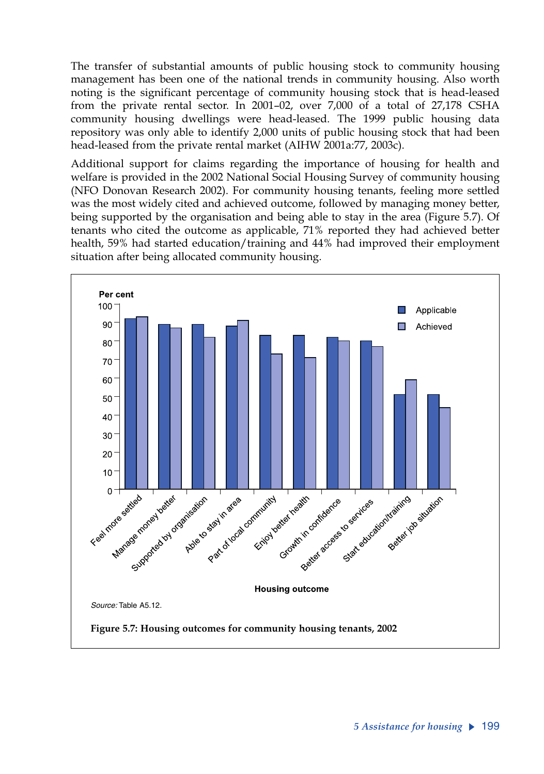The transfer of substantial amounts of public housing stock to community housing management has been one of the national trends in community housing. Also worth noting is the significant percentage of community housing stock that is head-leased from the private rental sector. In 2001–02, over 7,000 of a total of 27,178 CSHA community housing dwellings were head-leased. The 1999 public housing data repository was only able to identify 2,000 units of public housing stock that had been head-leased from the private rental market (AIHW 2001a:77, 2003c).

Additional support for claims regarding the importance of housing for health and welfare is provided in the 2002 National Social Housing Survey of community housing (NFO Donovan Research 2002). For community housing tenants, feeling more settled was the most widely cited and achieved outcome, followed by managing money better, being supported by the organisation and being able to stay in the area (Figure 5.7). Of tenants who cited the outcome as applicable, 71% reported they had achieved better health, 59% had started education/training and 44% had improved their employment situation after being allocated community housing.

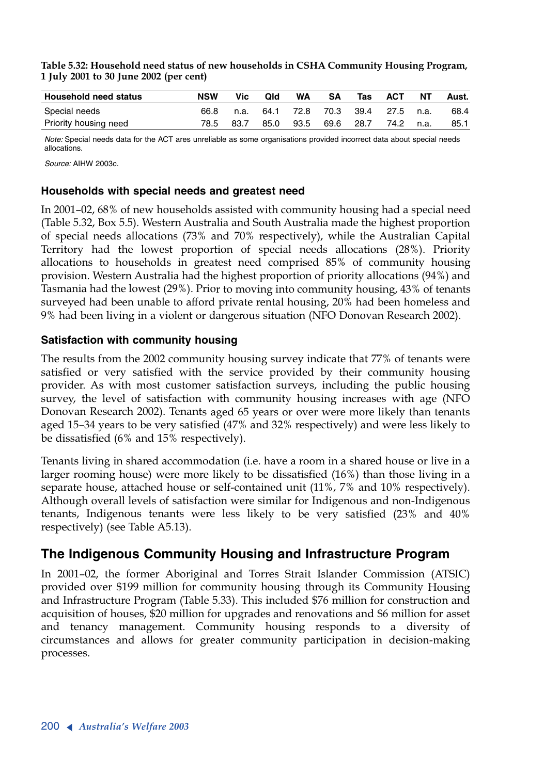**Table 5.32: Household need status of new households in CSHA Community Housing Program, 1 July 2001 to 30 June 2002 (per cent)**

| <b>Household need status</b> | NSW  | Vic . | Qld  | WA | SΑ | Tas | ACT                           | NT | Aust. |
|------------------------------|------|-------|------|----|----|-----|-------------------------------|----|-------|
| Special needs                | 66.8 | n.a.  |      |    |    |     | 64.1 72.8 70.3 39.4 27.5 n.a. |    | 68.4  |
| Priority housing need        | 78.5 | 83.7  | 85.0 |    |    |     | 93.5 69.6 28.7 74.2 n.a.      |    | 85.1  |

*Note:* Special needs data for the ACT ares unreliable as some organisations provided incorrect data about special needs allocations.

*Source:* AIHW 2003c.

#### **Households with special needs and greatest need**

In 2001–02, 68% of new households assisted with community housing had a special need (Table 5.32, Box 5.5). Western Australia and South Australia made the highest proportion of special needs allocations (73% and 70% respectively), while the Australian Capital Territory had the lowest proportion of special needs allocations (28%). Priority allocations to households in greatest need comprised 85% of community housing provision. Western Australia had the highest proportion of priority allocations (94%) and Tasmania had the lowest (29%). Prior to moving into community housing, 43% of tenants surveyed had been unable to afford private rental housing, 20% had been homeless and 9% had been living in a violent or dangerous situation (NFO Donovan Research 2002).

#### **Satisfaction with community housing**

The results from the 2002 community housing survey indicate that 77% of tenants were satisfied or very satisfied with the service provided by their community housing provider. As with most customer satisfaction surveys, including the public housing survey, the level of satisfaction with community housing increases with age (NFO Donovan Research 2002). Tenants aged 65 years or over were more likely than tenants aged 15–34 years to be very satisfied (47% and 32% respectively) and were less likely to be dissatisfied (6% and 15% respectively).

Tenants living in shared accommodation (i.e. have a room in a shared house or live in a larger rooming house) were more likely to be dissatisfied (16%) than those living in a separate house, attached house or self-contained unit (11%, 7% and 10% respectively). Although overall levels of satisfaction were similar for Indigenous and non-Indigenous tenants, Indigenous tenants were less likely to be very satisfied (23% and 40% respectively) (see Table A5.13).

### **The Indigenous Community Housing and Infrastructure Program**

In 2001–02, the former Aboriginal and Torres Strait Islander Commission (ATSIC) provided over \$199 million for community housing through its Community Housing and Infrastructure Program (Table 5.33). This included \$76 million for construction and acquisition of houses, \$20 million for upgrades and renovations and \$6 million for asset and tenancy management. Community housing responds to a diversity of circumstances and allows for greater community participation in decision-making processes.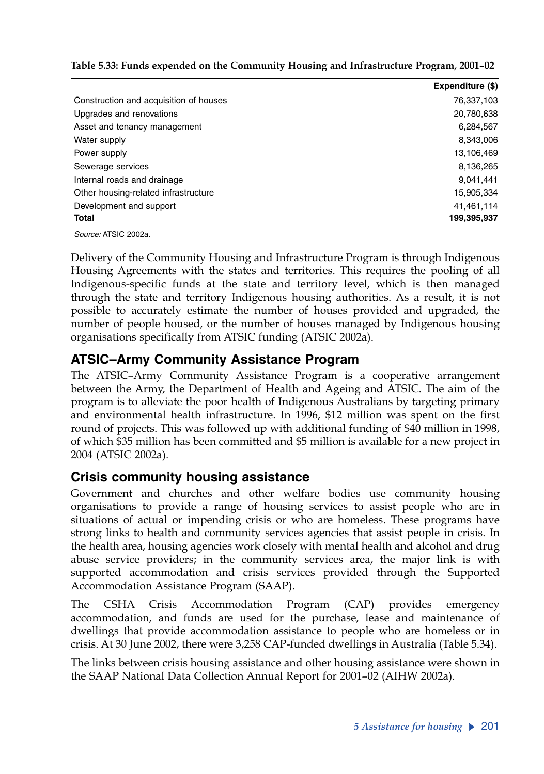**Table 5.33: Funds expended on the Community Housing and Infrastructure Program, 2001–02**

|                                        | Expenditure (\$) |
|----------------------------------------|------------------|
| Construction and acquisition of houses | 76,337,103       |
| Upgrades and renovations               | 20,780,638       |
| Asset and tenancy management           | 6,284,567        |
| Water supply                           | 8,343,006        |
| Power supply                           | 13,106,469       |
| Sewerage services                      | 8,136,265        |
| Internal roads and drainage            | 9,041,441        |
| Other housing-related infrastructure   | 15,905,334       |
| Development and support                | 41,461,114       |
| <b>Total</b>                           | 199,395,937      |

*Source:* ATSIC 2002a.

Delivery of the Community Housing and Infrastructure Program is through Indigenous Housing Agreements with the states and territories. This requires the pooling of all Indigenous-specific funds at the state and territory level, which is then managed through the state and territory Indigenous housing authorities. As a result, it is not possible to accurately estimate the number of houses provided and upgraded, the number of people housed, or the number of houses managed by Indigenous housing organisations specifically from ATSIC funding (ATSIC 2002a).

### **ATSIC–Army Community Assistance Program**

The ATSIC–Army Community Assistance Program is a cooperative arrangement between the Army, the Department of Health and Ageing and ATSIC. The aim of the program is to alleviate the poor health of Indigenous Australians by targeting primary and environmental health infrastructure. In 1996, \$12 million was spent on the first round of projects. This was followed up with additional funding of \$40 million in 1998, of which \$35 million has been committed and \$5 million is available for a new project in 2004 (ATSIC 2002a).

### **Crisis community housing assistance**

Government and churches and other welfare bodies use community housing organisations to provide a range of housing services to assist people who are in situations of actual or impending crisis or who are homeless. These programs have strong links to health and community services agencies that assist people in crisis. In the health area, housing agencies work closely with mental health and alcohol and drug abuse service providers; in the community services area, the major link is with supported accommodation and crisis services provided through the Supported Accommodation Assistance Program (SAAP).

The CSHA Crisis Accommodation Program (CAP) provides emergency accommodation, and funds are used for the purchase, lease and maintenance of dwellings that provide accommodation assistance to people who are homeless or in crisis. At 30 June 2002, there were 3,258 CAP-funded dwellings in Australia (Table 5.34).

The links between crisis housing assistance and other housing assistance were shown in the SAAP National Data Collection Annual Report for 2001–02 (AIHW 2002a).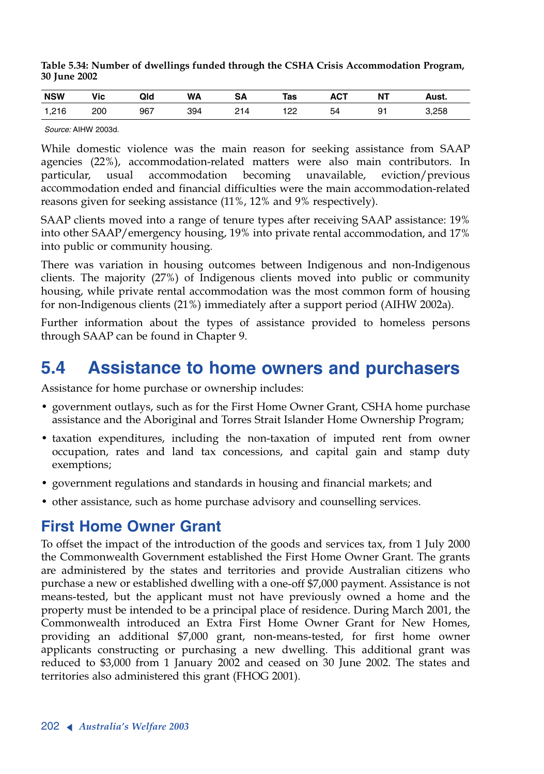| Table 5.34: Number of dwellings funded through the CSHA Crisis Accommodation Program, |  |  |
|---------------------------------------------------------------------------------------|--|--|
| <b>30 June 2002</b>                                                                   |  |  |

| <b>NSW</b> | Vic | Qld | <b>WA</b> | <b>SA</b>  | Tas | АСТ | NΤ | Aust. |
|------------|-----|-----|-----------|------------|-----|-----|----|-------|
| 1,216      | 200 | 967 | 394       | ົາ 1<br>14 | 122 | 54  | 91 | 3,258 |

*Source:* AIHW 2003d.

While domestic violence was the main reason for seeking assistance from SAAP agencies (22%), accommodation-related matters were also main contributors. In particular, usual accommodation becoming unavailable, eviction/previous accommodation ended and financial difficulties were the main accommodation-related reasons given for seeking assistance (11%, 12% and 9% respectively).

SAAP clients moved into a range of tenure types after receiving SAAP assistance: 19% into other SAAP/emergency housing, 19% into private rental accommodation, and 17% into public or community housing.

There was variation in housing outcomes between Indigenous and non-Indigenous clients. The majority (27%) of Indigenous clients moved into public or community housing, while private rental accommodation was the most common form of housing for non-Indigenous clients (21%) immediately after a support period (AIHW 2002a).

Further information about the types of assistance provided to homeless persons through SAAP can be found in Chapter 9.

# **5.4 Assistance to home owners and purchasers**

Assistance for home purchase or ownership includes:

- government outlays, such as for the First Home Owner Grant, CSHA home purchase assistance and the Aboriginal and Torres Strait Islander Home Ownership Program;
- taxation expenditures, including the non-taxation of imputed rent from owner occupation, rates and land tax concessions, and capital gain and stamp duty exemptions;
- government regulations and standards in housing and financial markets; and
- other assistance, such as home purchase advisory and counselling services.

## **First Home Owner Grant**

To offset the impact of the introduction of the goods and services tax, from 1 July 2000 the Commonwealth Government established the First Home Owner Grant. The grants are administered by the states and territories and provide Australian citizens who purchase a new or established dwelling with a one-off \$7,000 payment. Assistance is not means-tested, but the applicant must not have previously owned a home and the property must be intended to be a principal place of residence. During March 2001, the Commonwealth introduced an Extra First Home Owner Grant for New Homes, providing an additional \$7,000 grant, non-means-tested, for first home owner applicants constructing or purchasing a new dwelling. This additional grant was reduced to \$3,000 from 1 January 2002 and ceased on 30 June 2002. The states and territories also administered this grant (FHOG 2001).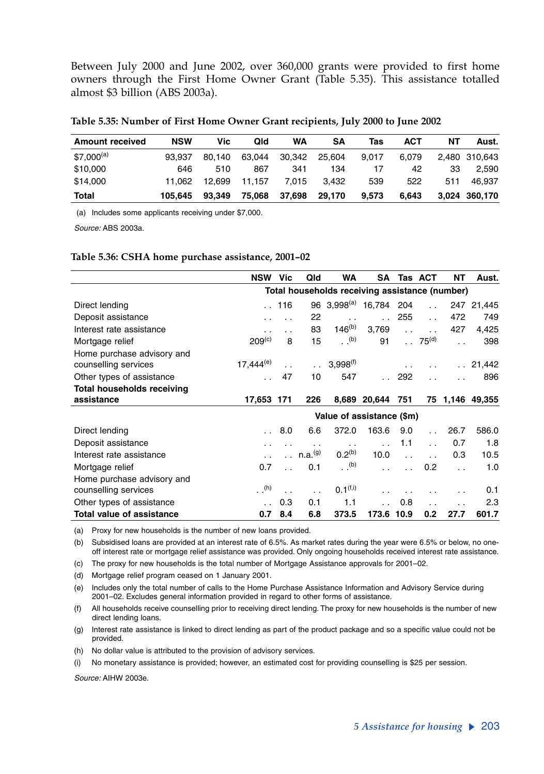Between July 2000 and June 2002, over 360,000 grants were provided to first home owners through the First Home Owner Grant (Table 5.35). This assistance totalled almost \$3 billion (ABS 2003a).

| <b>Amount received</b> | <b>NSW</b> | Vic    | Qld    | WA     | SΑ     | Tas   | ACT   | NΤ  | Aust.         |
|------------------------|------------|--------|--------|--------|--------|-------|-------|-----|---------------|
| $$7,000^{(a)}$         | 93.937     | 80.140 | 63.044 | 30.342 | 25.604 | 9.017 | 6.079 |     | 2,480 310,643 |
| \$10,000               | 646        | 510    | 867    | 341    | 134    | 17    | 42    | 33  | 2.590         |
| \$14,000               | 11.062     | 12.699 | 11.157 | 7.015  | 3.432  | 539   | 522   | 511 | 46.937        |
| Total                  | 105.645    | 93.349 | 75.068 | 37.698 | 29,170 | 9.573 | 6.643 |     | 3,024 360,170 |

(a) Includes some applicants receiving under \$7,000.

*Source:* ABS 2003a.

#### **Table 5.36: CSHA home purchase assistance, 2001–02**

|                                   | NSW                                            | Vic                  | Qld                 | <b>WA</b>            | SA           |                      | Tas ACT              | NΤ                   | Aust.      |
|-----------------------------------|------------------------------------------------|----------------------|---------------------|----------------------|--------------|----------------------|----------------------|----------------------|------------|
|                                   | Total households receiving assistance (number) |                      |                     |                      |              |                      |                      |                      |            |
| Direct lending                    | $\ddot{\phantom{a}}$                           | 116                  |                     | 96 $3.998^{(a)}$     | 16,784       | 204                  | $\ddot{\phantom{0}}$ |                      | 247 21,445 |
| Deposit assistance                |                                                |                      | 22                  | $\ddotsc$            |              | 255                  | $\ddot{\phantom{a}}$ | 472                  | 749        |
| Interest rate assistance          | . .                                            | $\ddot{\phantom{0}}$ | 83                  | $146^{(b)}$          | 3,769        | $\ddot{\phantom{a}}$ | $\ddot{\phantom{0}}$ | 427                  | 4,425      |
| Mortgage relief                   | 209 <sup>(c)</sup>                             | 8                    | 15                  | (b)                  | 91           | $\mathbf{r}$         | 75 <sup>(d)</sup>    |                      | 398        |
| Home purchase advisory and        |                                                |                      |                     |                      |              |                      |                      |                      |            |
| counselling services              | $17,444^{(e)}$                                 |                      | $\ddotsc$           | $3.998^{(1)}$        |              |                      |                      |                      | . 21,442   |
| Other types of assistance         |                                                | 47                   | 10                  | 547                  |              | 292                  |                      |                      | 896        |
| <b>Total households receiving</b> |                                                |                      |                     |                      |              |                      |                      |                      |            |
| assistance                        | 17,653 171                                     |                      | 226                 |                      | 8,689 20,644 | 751                  |                      | 75 1.146             | 49,355     |
|                                   | Value of assistance (\$m)                      |                      |                     |                      |              |                      |                      |                      |            |
| Direct lending                    |                                                | 8.0                  | 6.6                 | 372.0                | 163.6        | 9.0                  |                      | 26.7                 | 586.0      |
| Deposit assistance                |                                                |                      | $\ddotsc$           | $\ddot{\phantom{0}}$ |              | 1.1                  | $\ddot{\phantom{0}}$ | 0.7                  | 1.8        |
| Interest rate assistance          |                                                | $\ddot{\phantom{0}}$ | n.a. <sup>(g)</sup> | $0.2^{(b)}$          | 10.0         | $\ddot{\phantom{0}}$ |                      | 0.3                  | 10.5       |
| Mortgage relief                   | 0.7                                            | $\ddot{\phantom{0}}$ | 0.1                 | (b)                  |              |                      | 0.2 <sub>0</sub>     | $\ddot{\phantom{a}}$ | 1.0        |
| Home purchase advisory and        |                                                |                      |                     |                      |              |                      |                      |                      |            |
| counselling services              | (h)                                            | $\ddot{\phantom{0}}$ |                     | 0.1 <sup>(f,i)</sup> |              |                      |                      |                      | 0.1        |
| Other types of assistance         |                                                | 0.3                  | 0.1                 | 1.1                  |              | 0.8                  | $\ddot{\phantom{0}}$ |                      | 2.3        |
| <b>Total value of assistance</b>  | 0.7                                            | 8.4                  | 6.8                 | 373.5                | 173.6 10.9   |                      | 0.2                  | 27.7                 | 601.7      |

(a) Proxy for new households is the number of new loans provided.

(b) Subsidised loans are provided at an interest rate of 6.5%. As market rates during the year were 6.5% or below, no oneoff interest rate or mortgage relief assistance was provided. Only ongoing households received interest rate assistance.

(c) The proxy for new households is the total number of Mortgage Assistance approvals for 2001–02.

(d) Mortgage relief program ceased on 1 January 2001.

(e) Includes only the total number of calls to the Home Purchase Assistance Information and Advisory Service during 2001–02. Excludes general information provided in regard to other forms of assistance.

(f) All households receive counselling prior to receiving direct lending. The proxy for new households is the number of new direct lending loans.

(g) Interest rate assistance is linked to direct lending as part of the product package and so a specific value could not be provided.

(h) No dollar value is attributed to the provision of advisory services.

(i) No monetary assistance is provided; however, an estimated cost for providing counselling is \$25 per session.

*Source:* AIHW 2003e.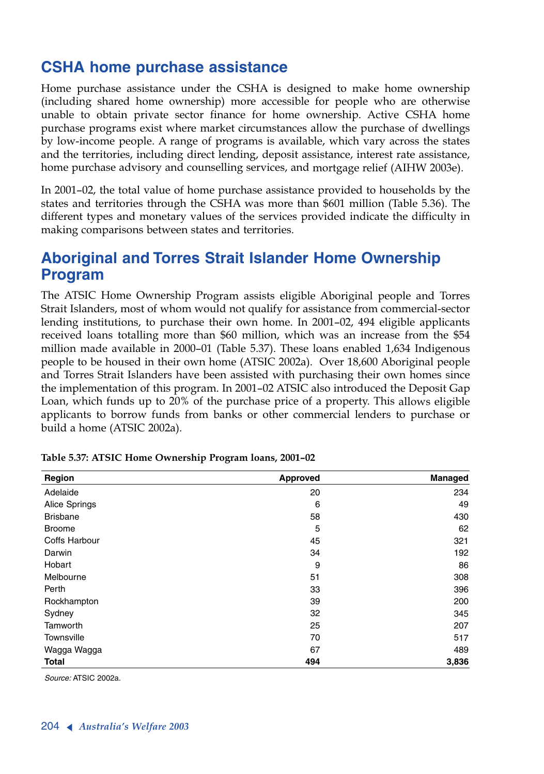# **CSHA home purchase assistance**

Home purchase assistance under the CSHA is designed to make home ownership (including shared home ownership) more accessible for people who are otherwise unable to obtain private sector finance for home ownership. Active CSHA home purchase programs exist where market circumstances allow the purchase of dwellings by low-income people. A range of programs is available, which vary across the states and the territories, including direct lending, deposit assistance, interest rate assistance, home purchase advisory and counselling services, and mortgage relief (AIHW 2003e).

In 2001–02, the total value of home purchase assistance provided to households by the states and territories through the CSHA was more than \$601 million (Table 5.36). The different types and monetary values of the services provided indicate the difficulty in making comparisons between states and territories.

# **Aboriginal and Torres Strait Islander Home Ownership Program**

The ATSIC Home Ownership Program assists eligible Aboriginal people and Torres Strait Islanders, most of whom would not qualify for assistance from commercial-sector lending institutions, to purchase their own home. In 2001–02, 494 eligible applicants received loans totalling more than \$60 million, which was an increase from the \$54 million made available in 2000–01 (Table 5.37). These loans enabled 1,634 Indigenous people to be housed in their own home (ATSIC 2002a). Over 18,600 Aboriginal people and Torres Strait Islanders have been assisted with purchasing their own homes since the implementation of this program. In 2001–02 ATSIC also introduced the Deposit Gap Loan, which funds up to 20% of the purchase price of a property. This allows eligible applicants to borrow funds from banks or other commercial lenders to purchase or build a home (ATSIC 2002a).

| Region          | Approved | Managed |
|-----------------|----------|---------|
| Adelaide        | 20       | 234     |
| Alice Springs   | 6        | 49      |
| <b>Brisbane</b> | 58       | 430     |
| <b>Broome</b>   | 5        | 62      |
| Coffs Harbour   | 45       | 321     |
| Darwin          | 34       | 192     |
| Hobart          | 9        | 86      |
| Melbourne       | 51       | 308     |
| Perth           | 33       | 396     |
| Rockhampton     | 39       | 200     |
| Sydney          | 32       | 345     |
| Tamworth        | 25       | 207     |
| Townsville      | 70       | 517     |
| Wagga Wagga     | 67       | 489     |
| <b>Total</b>    | 494      | 3,836   |

**Table 5.37: ATSIC Home Ownership Program loans, 2001–02**

*Source:* ATSIC 2002a.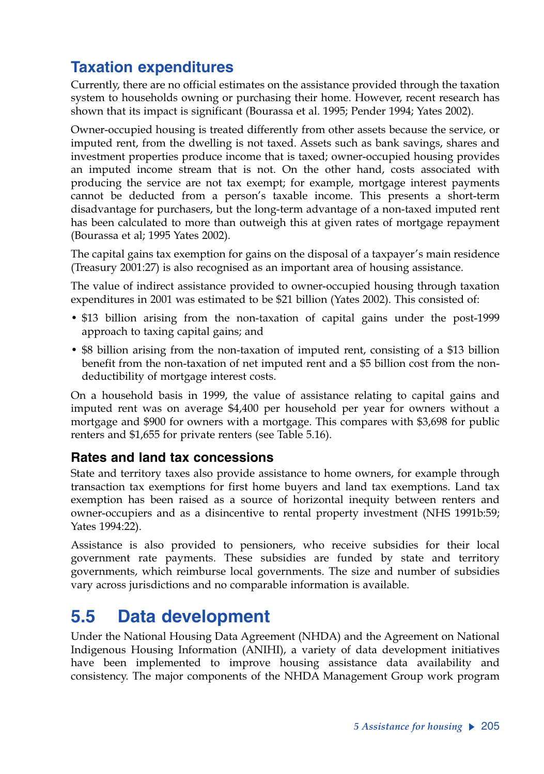# **Taxation expenditures**

Currently, there are no official estimates on the assistance provided through the taxation system to households owning or purchasing their home. However, recent research has shown that its impact is significant (Bourassa et al. 1995; Pender 1994; Yates 2002).

Owner-occupied housing is treated differently from other assets because the service, or imputed rent, from the dwelling is not taxed. Assets such as bank savings, shares and investment properties produce income that is taxed; owner-occupied housing provides an imputed income stream that is not. On the other hand, costs associated with producing the service are not tax exempt; for example, mortgage interest payments cannot be deducted from a person's taxable income. This presents a short-term disadvantage for purchasers, but the long-term advantage of a non-taxed imputed rent has been calculated to more than outweigh this at given rates of mortgage repayment (Bourassa et al; 1995 Yates 2002).

The capital gains tax exemption for gains on the disposal of a taxpayer's main residence (Treasury 2001:27) is also recognised as an important area of housing assistance.

The value of indirect assistance provided to owner-occupied housing through taxation expenditures in 2001 was estimated to be \$21 billion (Yates 2002). This consisted of:

- \$13 billion arising from the non-taxation of capital gains under the post-1999 approach to taxing capital gains; and
- \$8 billion arising from the non-taxation of imputed rent, consisting of a \$13 billion benefit from the non-taxation of net imputed rent and a \$5 billion cost from the nondeductibility of mortgage interest costs.

On a household basis in 1999, the value of assistance relating to capital gains and imputed rent was on average \$4,400 per household per year for owners without a mortgage and \$900 for owners with a mortgage. This compares with \$3,698 for public renters and \$1,655 for private renters (see Table 5.16).

### **Rates and land tax concessions**

State and territory taxes also provide assistance to home owners, for example through transaction tax exemptions for first home buyers and land tax exemptions. Land tax exemption has been raised as a source of horizontal inequity between renters and owner-occupiers and as a disincentive to rental property investment (NHS 1991b:59; Yates 1994:22).

Assistance is also provided to pensioners, who receive subsidies for their local government rate payments. These subsidies are funded by state and territory governments, which reimburse local governments. The size and number of subsidies vary across jurisdictions and no comparable information is available.

# **5.5 Data development**

Under the National Housing Data Agreement (NHDA) and the Agreement on National Indigenous Housing Information (ANIHI), a variety of data development initiatives have been implemented to improve housing assistance data availability and consistency. The major components of the NHDA Management Group work program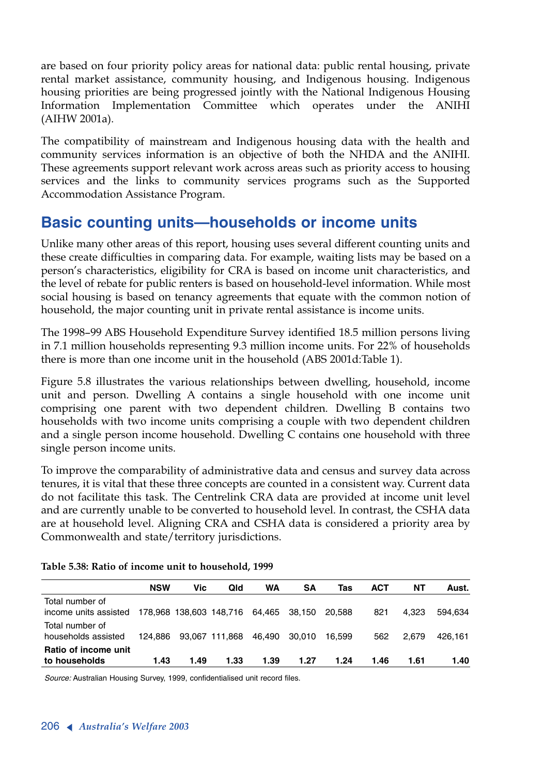are based on four priority policy areas for national data: public rental housing, private rental market assistance, community housing, and Indigenous housing. Indigenous housing priorities are being progressed jointly with the National Indigenous Housing Information Implementation Committee which operates under the ANIHI (AIHW 2001a).

The compatibility of mainstream and Indigenous housing data with the health and community services information is an objective of both the NHDA and the ANIHI. These agreements support relevant work across areas such as priority access to housing services and the links to community services programs such as the Supported Accommodation Assistance Program.

# **Basic counting units—households or income units**

Unlike many other areas of this report, housing uses several different counting units and these create difficulties in comparing data. For example, waiting lists may be based on a person's characteristics, eligibility for CRA is based on income unit characteristics, and the level of rebate for public renters is based on household-level information. While most social housing is based on tenancy agreements that equate with the common notion of household, the major counting unit in private rental assistance is income units.

The 1998–99 ABS Household Expenditure Survey identified 18.5 million persons living in 7.1 million households representing 9.3 million income units. For 22% of households there is more than one income unit in the household (ABS 2001d:Table 1).

Figure 5.8 illustrates the various relationships between dwelling, household, income unit and person. Dwelling A contains a single household with one income unit comprising one parent with two dependent children. Dwelling B contains two households with two income units comprising a couple with two dependent children and a single person income household. Dwelling C contains one household with three single person income units.

To improve the comparability of administrative data and census and survey data across tenures, it is vital that these three concepts are counted in a consistent way. Current data do not facilitate this task. The Centrelink CRA data are provided at income unit level and are currently unable to be converted to household level. In contrast, the CSHA data are at household level. Aligning CRA and CSHA data is considered a priority area by Commonwealth and state/territory jurisdictions.

|                       | <b>NSW</b> | Vic  | Qld                                   | <b>WA</b> | SΑ     | Tas    | <b>ACT</b> | NΤ    | Aust.   |
|-----------------------|------------|------|---------------------------------------|-----------|--------|--------|------------|-------|---------|
| Total number of       |            |      |                                       |           |        |        |            |       |         |
| income units assisted |            |      | 178,968 138,603 148,716 64,465 38,150 |           |        | 20.588 | 821        | 4.323 | 594.634 |
| Total number of       |            |      |                                       |           |        |        |            |       |         |
| households assisted   | 124.886    |      | 93,067 111,868                        | 46.490    | 30.010 | 16.599 | 562        | 2.679 | 426.161 |
| Ratio of income unit  |            |      |                                       |           |        |        |            |       |         |
| to households         | 1.43       | 1.49 | 1.33                                  | 1.39      | 1.27   | 1.24   | 1.46       | 1.61  | 1.40    |

### **Table 5.38: Ratio of income unit to household, 1999**

*Source:* Australian Housing Survey, 1999, confidentialised unit record files.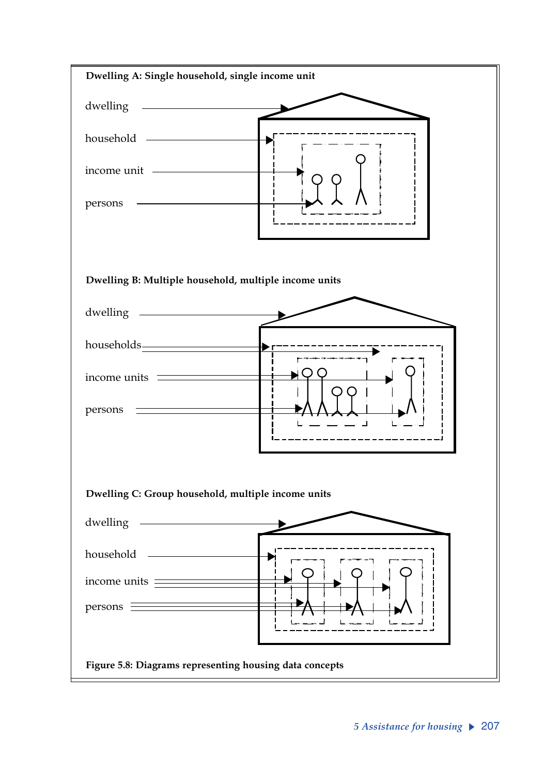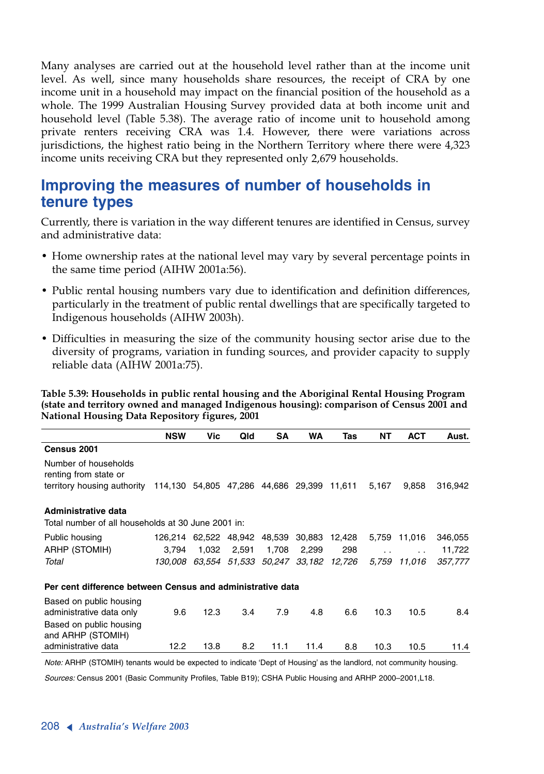Many analyses are carried out at the household level rather than at the income unit level. As well, since many households share resources, the receipt of CRA by one income unit in a household may impact on the financial position of the household as a whole. The 1999 Australian Housing Survey provided data at both income unit and household level (Table 5.38). The average ratio of income unit to household among private renters receiving CRA was 1.4. However, there were variations across jurisdictions, the highest ratio being in the Northern Territory where there were 4,323 income units receiving CRA but they represented only 2,679 households.

# **Improving the measures of number of households in tenure types**

Currently, there is variation in the way different tenures are identified in Census, survey and administrative data:

- Home ownership rates at the national level may vary by several percentage points in the same time period (AIHW 2001a:56).
- Public rental housing numbers vary due to identification and definition differences, particularly in the treatment of public rental dwellings that are specifically targeted to Indigenous households (AIHW 2003h).
- Difficulties in measuring the size of the community housing sector arise due to the diversity of programs, variation in funding sources, and provider capacity to supply reliable data (AIHW 2001a:75).

**Table 5.39: Households in public rental housing and the Aboriginal Rental Housing Program (state and territory owned and managed Indigenous housing): comparison of Census 2001 and National Housing Data Repository figures, 2001**

|                                                                                                                         | <b>NSW</b>                                 | Vic  | Qld         | SΑ    | WA    | Tas                                        | NΤ    | <b>ACT</b>           | Aust.   |
|-------------------------------------------------------------------------------------------------------------------------|--------------------------------------------|------|-------------|-------|-------|--------------------------------------------|-------|----------------------|---------|
| Census 2001                                                                                                             |                                            |      |             |       |       |                                            |       |                      |         |
| Number of households<br>renting from state or<br>territory housing authority 114,130 54,805 47,286 44,686 29,399 11,611 |                                            |      |             |       |       |                                            | 5,167 | 9,858                | 316,942 |
|                                                                                                                         |                                            |      |             |       |       |                                            |       |                      |         |
| Administrative data                                                                                                     |                                            |      |             |       |       |                                            |       |                      |         |
| Total number of all households at 30 June 2001 in:                                                                      |                                            |      |             |       |       |                                            |       |                      |         |
| Public housing                                                                                                          | 126,214 62,522 48,942 48,539 30,883 12,428 |      |             |       |       |                                            |       | 5,759 11,016         | 346,055 |
| ARHP (STOMIH)                                                                                                           | 3.794                                      |      | 1,032 2,591 | 1,708 | 2,299 | 298                                        |       | $\ddot{\phantom{0}}$ | 11,722  |
| Total                                                                                                                   |                                            |      |             |       |       | 130,008 63,554 51,533 50,247 33,182 12,726 |       | 5,759 11,016         | 357,777 |
| Per cent difference between Census and administrative data                                                              |                                            |      |             |       |       |                                            |       |                      |         |
| Based on public housing<br>administrative data only                                                                     | 9.6                                        | 12.3 | 3.4         | 7.9   | 4.8   | 6.6                                        | 10.3  | 10.5                 | 8.4     |
| Based on public housing<br>and ARHP (STOMIH)                                                                            |                                            |      |             |       |       |                                            |       |                      |         |
| administrative data                                                                                                     | 12.2                                       | 13.8 | 8.2         | 11.1  | 11.4  | 8.8                                        | 10.3  | 10.5                 | 11.4    |

*Note:* ARHP (STOMIH) tenants would be expected to indicate 'Dept of Housing' as the landlord, not community housing.

*Sources:* Census 2001 (Basic Community Profiles, Table B19); CSHA Public Housing and ARHP 2000–2001,L18.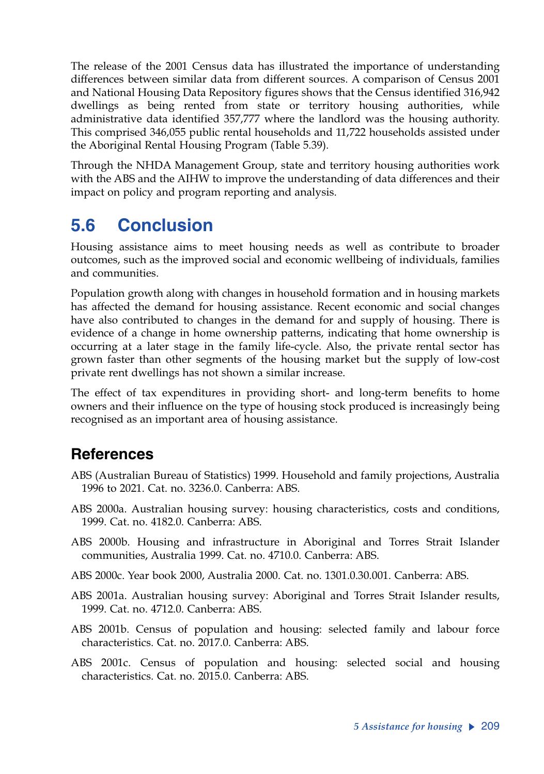The release of the 2001 Census data has illustrated the importance of understanding differences between similar data from different sources. A comparison of Census 2001 and National Housing Data Repository figures shows that the Census identified 316,942 dwellings as being rented from state or territory housing authorities, while administrative data identified 357,777 where the landlord was the housing authority. This comprised 346,055 public rental households and 11,722 households assisted under the Aboriginal Rental Housing Program (Table 5.39).

Through the NHDA Management Group, state and territory housing authorities work with the ABS and the AIHW to improve the understanding of data differences and their impact on policy and program reporting and analysis.

# **5.6 Conclusion**

Housing assistance aims to meet housing needs as well as contribute to broader outcomes, such as the improved social and economic wellbeing of individuals, families and communities.

Population growth along with changes in household formation and in housing markets has affected the demand for housing assistance. Recent economic and social changes have also contributed to changes in the demand for and supply of housing. There is evidence of a change in home ownership patterns, indicating that home ownership is occurring at a later stage in the family life-cycle. Also, the private rental sector has grown faster than other segments of the housing market but the supply of low-cost private rent dwellings has not shown a similar increase.

The effect of tax expenditures in providing short- and long-term benefits to home owners and their influence on the type of housing stock produced is increasingly being recognised as an important area of housing assistance.

# **References**

- ABS (Australian Bureau of Statistics) 1999. Household and family projections, Australia 1996 to 2021. Cat. no. 3236.0. Canberra: ABS.
- ABS 2000a. Australian housing survey: housing characteristics, costs and conditions, 1999. Cat. no. 4182.0. Canberra: ABS.
- ABS 2000b. Housing and infrastructure in Aboriginal and Torres Strait Islander communities, Australia 1999. Cat. no. 4710.0. Canberra: ABS.
- ABS 2000c. Year book 2000, Australia 2000. Cat. no. 1301.0.30.001. Canberra: ABS.
- ABS 2001a. Australian housing survey: Aboriginal and Torres Strait Islander results, 1999. Cat. no. 4712.0. Canberra: ABS.
- ABS 2001b. Census of population and housing: selected family and labour force characteristics. Cat. no. 2017.0. Canberra: ABS.
- ABS 2001c. Census of population and housing: selected social and housing characteristics. Cat. no. 2015.0. Canberra: ABS.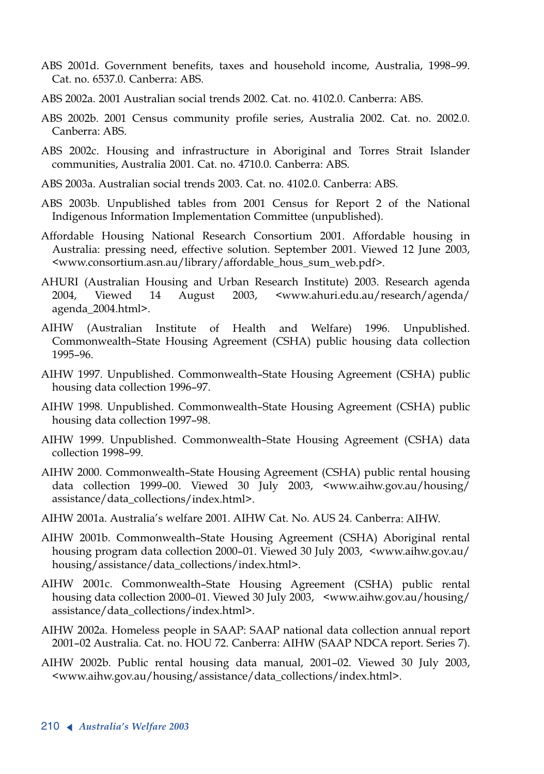- ABS 2001d. Government benefits, taxes and household income, Australia, 1998–99. Cat. no. 6537.0. Canberra: ABS.
- ABS 2002a. 2001 Australian social trends 2002. Cat. no. 4102.0. Canberra: ABS.
- ABS 2002b. 2001 Census community profile series, Australia 2002. Cat. no. 2002.0. Canberra: ABS.
- ABS 2002c. Housing and infrastructure in Aboriginal and Torres Strait Islander communities, Australia 2001. Cat. no. 4710.0. Canberra: ABS.
- ABS 2003a. Australian social trends 2003. Cat. no. 4102.0. Canberra: ABS.
- ABS 2003b. Unpublished tables from 2001 Census for Report 2 of the National Indigenous Information Implementation Committee (unpublished).
- Affordable Housing National Research Consortium 2001. Affordable housing in Australia: pressing need, effective solution. September 2001. Viewed 12 June 2003, <www.consortium.asn.au/library/affordable\_hous\_sum\_web.pdf>.
- AHURI (Australian Housing and Urban Research Institute) 2003. Research agenda 2004, Viewed 14 August 2003, <www.ahuri.edu.au/research/agenda/ agenda\_2004.html>.
- AIHW (Australian Institute of Health and Welfare) 1996. Unpublished. Commonwealth–State Housing Agreement (CSHA) public housing data collection 1995–96.
- AIHW 1997. Unpublished. Commonwealth–State Housing Agreement (CSHA) public housing data collection 1996–97.
- AIHW 1998. Unpublished. Commonwealth–State Housing Agreement (CSHA) public housing data collection 1997–98.
- AIHW 1999. Unpublished. Commonwealth–State Housing Agreement (CSHA) data collection 1998–99.
- AIHW 2000. Commonwealth–State Housing Agreement (CSHA) public rental housing data collection 1999–00. Viewed 30 July 2003, <www.aihw.gov.au/housing/ assistance/data\_collections/index.html>.
- AIHW 2001a. Australia's welfare 2001. AIHW Cat. No. AUS 24. Canberra: AIHW.
- AIHW 2001b. Commonwealth–State Housing Agreement (CSHA) Aboriginal rental housing program data collection 2000–01. Viewed 30 July 2003, <www.aihw.gov.au/ housing/assistance/data\_collections/index.html>.
- AIHW 2001c. Commonwealth–State Housing Agreement (CSHA) public rental housing data collection 2000–01. Viewed 30 July 2003, <www.aihw.gov.au/housing/ assistance/data\_collections/index.html>.
- AIHW 2002a. Homeless people in SAAP: SAAP national data collection annual report 2001–02 Australia. Cat. no. HOU 72. Canberra: AIHW (SAAP NDCA report. Series 7).
- AIHW 2002b. Public rental housing data manual, 2001–02. Viewed 30 July 2003, <www.aihw.gov.au/housing/assistance/data\_collections/index.html>.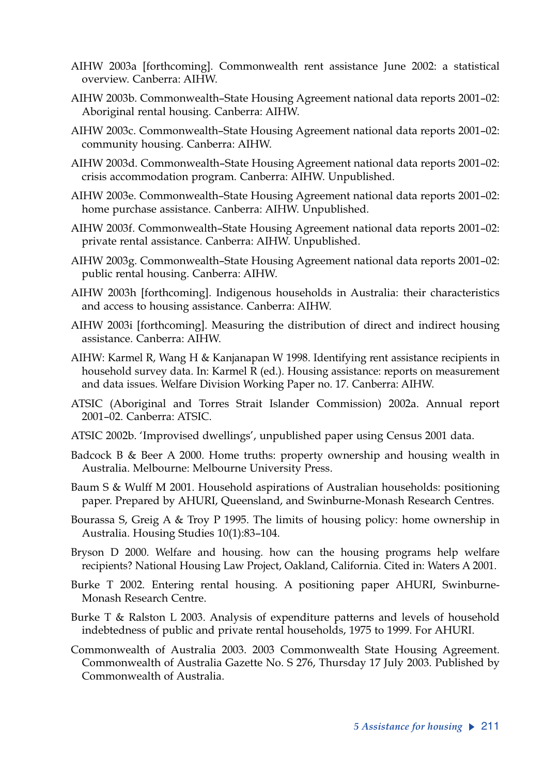- AIHW 2003a [forthcoming]. Commonwealth rent assistance June 2002: a statistical overview. Canberra: AIHW.
- AIHW 2003b. Commonwealth–State Housing Agreement national data reports 2001–02: Aboriginal rental housing. Canberra: AIHW.
- AIHW 2003c. Commonwealth–State Housing Agreement national data reports 2001–02: community housing. Canberra: AIHW.
- AIHW 2003d. Commonwealth–State Housing Agreement national data reports 2001–02: crisis accommodation program. Canberra: AIHW. Unpublished.
- AIHW 2003e. Commonwealth–State Housing Agreement national data reports 2001–02: home purchase assistance. Canberra: AIHW. Unpublished.
- AIHW 2003f. Commonwealth–State Housing Agreement national data reports 2001–02: private rental assistance. Canberra: AIHW. Unpublished.
- AIHW 2003g. Commonwealth–State Housing Agreement national data reports 2001–02: public rental housing. Canberra: AIHW.
- AIHW 2003h [forthcoming]. Indigenous households in Australia: their characteristics and access to housing assistance. Canberra: AIHW.
- AIHW 2003i [forthcoming]. Measuring the distribution of direct and indirect housing assistance. Canberra: AIHW.
- AIHW: Karmel R, Wang H & Kanjanapan W 1998. Identifying rent assistance recipients in household survey data. In: Karmel R (ed.). Housing assistance: reports on measurement and data issues. Welfare Division Working Paper no. 17. Canberra: AIHW.
- ATSIC (Aboriginal and Torres Strait Islander Commission) 2002a. Annual report 2001–02. Canberra: ATSIC.
- ATSIC 2002b. 'Improvised dwellings', unpublished paper using Census 2001 data.
- Badcock B & Beer A 2000. Home truths: property ownership and housing wealth in Australia. Melbourne: Melbourne University Press.
- Baum S & Wulff M 2001. Household aspirations of Australian households: positioning paper. Prepared by AHURI, Queensland, and Swinburne-Monash Research Centres.
- Bourassa S, Greig A & Troy P 1995. The limits of housing policy: home ownership in Australia. Housing Studies 10(1):83–104.
- Bryson D 2000. Welfare and housing. how can the housing programs help welfare recipients? National Housing Law Project, Oakland, California. Cited in: Waters A 2001.
- Burke T 2002. Entering rental housing. A positioning paper AHURI, Swinburne-Monash Research Centre.
- Burke T & Ralston L 2003. Analysis of expenditure patterns and levels of household indebtedness of public and private rental households, 1975 to 1999. For AHURI.
- Commonwealth of Australia 2003. 2003 Commonwealth State Housing Agreement. Commonwealth of Australia Gazette No. S 276, Thursday 17 July 2003. Published by Commonwealth of Australia.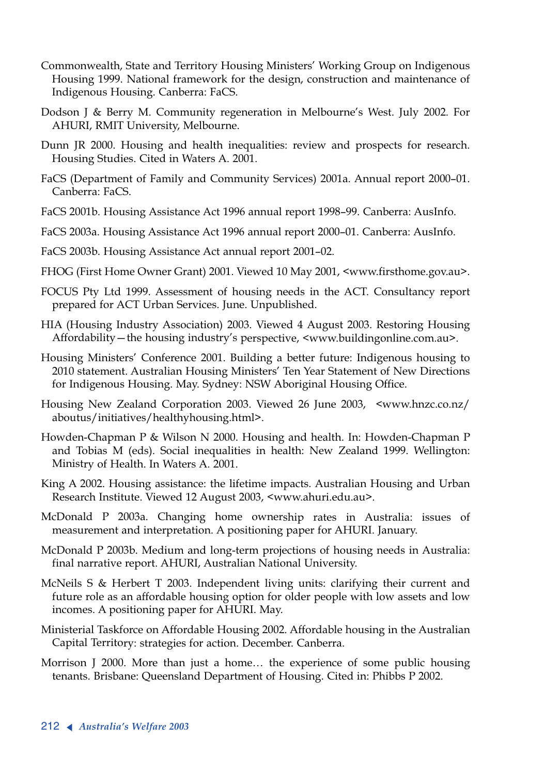- Commonwealth, State and Territory Housing Ministers' Working Group on Indigenous Housing 1999. National framework for the design, construction and maintenance of Indigenous Housing. Canberra: FaCS.
- Dodson J & Berry M. Community regeneration in Melbourne's West. July 2002. For AHURI, RMIT University, Melbourne.
- Dunn JR 2000. Housing and health inequalities: review and prospects for research. Housing Studies. Cited in Waters A. 2001.
- FaCS (Department of Family and Community Services) 2001a. Annual report 2000–01. Canberra: FaCS.
- FaCS 2001b. Housing Assistance Act 1996 annual report 1998–99. Canberra: AusInfo.
- FaCS 2003a. Housing Assistance Act 1996 annual report 2000–01. Canberra: AusInfo.
- FaCS 2003b. Housing Assistance Act annual report 2001–02.
- FHOG (First Home Owner Grant) 2001. Viewed 10 May 2001, <www.firsthome.gov.au>.
- FOCUS Pty Ltd 1999. Assessment of housing needs in the ACT. Consultancy report prepared for ACT Urban Services. June. Unpublished.
- HIA (Housing Industry Association) 2003. Viewed 4 August 2003. Restoring Housing Affordability—the housing industry's perspective, <www.buildingonline.com.au>.
- Housing Ministers' Conference 2001. Building a better future: Indigenous housing to 2010 statement. Australian Housing Ministers' Ten Year Statement of New Directions for Indigenous Housing. May. Sydney: NSW Aboriginal Housing Office.
- Housing New Zealand Corporation 2003. Viewed 26 June 2003, <www.hnzc.co.nz/ aboutus/initiatives/healthyhousing.html>.
- Howden-Chapman P & Wilson N 2000. Housing and health. In: Howden-Chapman P and Tobias M (eds). Social inequalities in health: New Zealand 1999. Wellington: Ministry of Health. In Waters A. 2001.
- King A 2002. Housing assistance: the lifetime impacts. Australian Housing and Urban Research Institute. Viewed 12 August 2003, <www.ahuri.edu.au>.
- McDonald P 2003a. Changing home ownership rates in Australia: issues of measurement and interpretation. A positioning paper for AHURI. January.
- McDonald P 2003b. Medium and long-term projections of housing needs in Australia: final narrative report. AHURI, Australian National University.
- McNeils S & Herbert T 2003. Independent living units: clarifying their current and future role as an affordable housing option for older people with low assets and low incomes. A positioning paper for AHURI. May.
- Ministerial Taskforce on Affordable Housing 2002. Affordable housing in the Australian Capital Territory: strategies for action. December. Canberra.
- Morrison J 2000. More than just a home… the experience of some public housing tenants. Brisbane: Queensland Department of Housing. Cited in: Phibbs P 2002.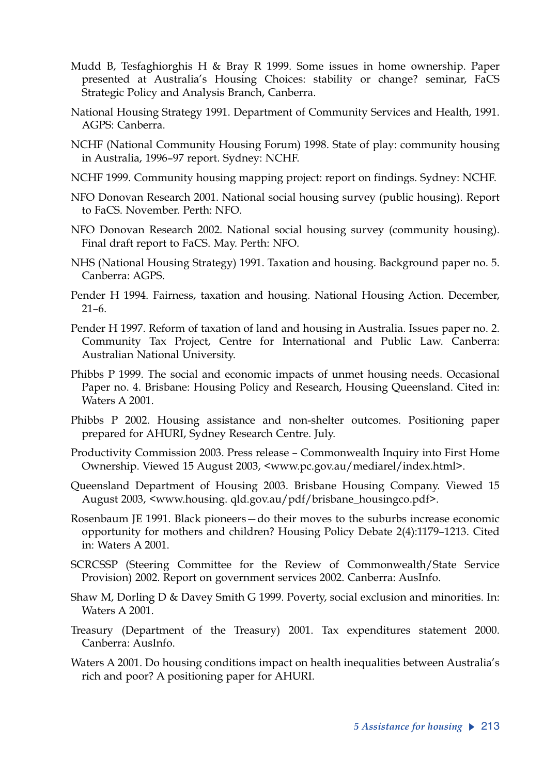- Mudd B, Tesfaghiorghis H & Bray R 1999. Some issues in home ownership. Paper presented at Australia's Housing Choices: stability or change? seminar, FaCS Strategic Policy and Analysis Branch, Canberra.
- National Housing Strategy 1991. Department of Community Services and Health, 1991. AGPS: Canberra.
- NCHF (National Community Housing Forum) 1998. State of play: community housing in Australia, 1996–97 report. Sydney: NCHF.
- NCHF 1999. Community housing mapping project: report on findings. Sydney: NCHF.
- NFO Donovan Research 2001. National social housing survey (public housing). Report to FaCS. November. Perth: NFO.
- NFO Donovan Research 2002. National social housing survey (community housing). Final draft report to FaCS. May. Perth: NFO.
- NHS (National Housing Strategy) 1991. Taxation and housing. Background paper no. 5. Canberra: AGPS.
- Pender H 1994. Fairness, taxation and housing. National Housing Action. December, 21–6.
- Pender H 1997. Reform of taxation of land and housing in Australia. Issues paper no. 2. Community Tax Project, Centre for International and Public Law. Canberra: Australian National University.
- Phibbs P 1999. The social and economic impacts of unmet housing needs. Occasional Paper no. 4. Brisbane: Housing Policy and Research, Housing Queensland. Cited in: Waters A 2001.
- Phibbs P 2002. Housing assistance and non-shelter outcomes. Positioning paper prepared for AHURI, Sydney Research Centre. July.
- Productivity Commission 2003. Press release Commonwealth Inquiry into First Home Ownership. Viewed 15 August 2003, <www.pc.gov.au/mediarel/index.html>.
- Queensland Department of Housing 2003. Brisbane Housing Company. Viewed 15 August 2003, <www.housing. qld.gov.au/pdf/brisbane\_housingco.pdf>.
- Rosenbaum JE 1991. Black pioneers—do their moves to the suburbs increase economic opportunity for mothers and children? Housing Policy Debate 2(4):1179–1213. Cited in: Waters A 2001.
- SCRCSSP (Steering Committee for the Review of Commonwealth/State Service Provision) 2002. Report on government services 2002. Canberra: AusInfo.
- Shaw M, Dorling D & Davey Smith G 1999. Poverty, social exclusion and minorities. In: Waters A 2001.
- Treasury (Department of the Treasury) 2001. Tax expenditures statement 2000. Canberra: AusInfo.
- Waters A 2001. Do housing conditions impact on health inequalities between Australia's rich and poor? A positioning paper for AHURI.